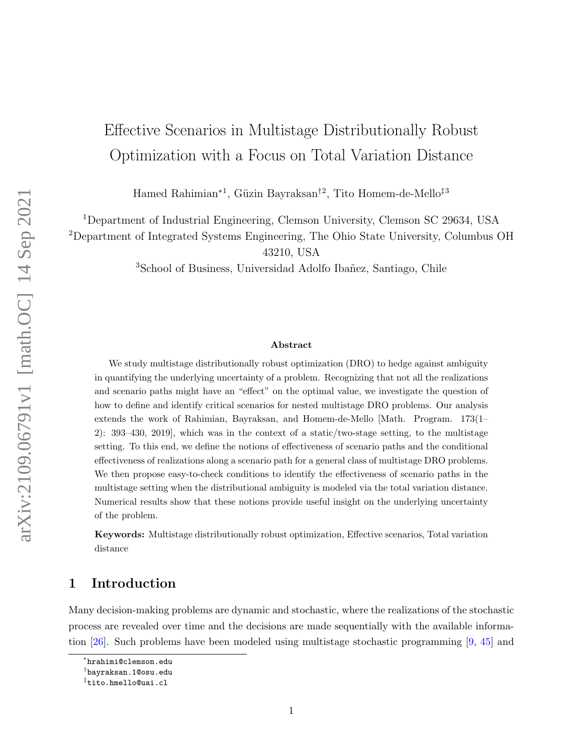# Effective Scenarios in Multistage Distributionally Robust Optimization with a Focus on Total Variation Distance

Hamed Rahimian<sup>\*1</sup>, Güzin Bayraksan<sup>†2</sup>, Tito Homem-de-Mello<sup>‡3</sup>

<sup>1</sup>Department of Industrial Engineering, Clemson University, Clemson SC 29634, USA

<sup>2</sup>Department of Integrated Systems Engineering, The Ohio State University, Columbus OH

43210, USA

<sup>3</sup>School of Business, Universidad Adolfo Ibañez, Santiago, Chile

#### Abstract

We study multistage distributionally robust optimization (DRO) to hedge against ambiguity in quantifying the underlying uncertainty of a problem. Recognizing that not all the realizations and scenario paths might have an "effect" on the optimal value, we investigate the question of how to define and identify critical scenarios for nested multistage DRO problems. Our analysis extends the work of Rahimian, Bayraksan, and Homem-de-Mello [Math. Program. 173(1– 2): 393–430, 2019], which was in the context of a static/two-stage setting, to the multistage setting. To this end, we define the notions of effectiveness of scenario paths and the conditional effectiveness of realizations along a scenario path for a general class of multistage DRO problems. We then propose easy-to-check conditions to identify the effectiveness of scenario paths in the multistage setting when the distributional ambiguity is modeled via the total variation distance. Numerical results show that these notions provide useful insight on the underlying uncertainty of the problem.

Keywords: Multistage distributionally robust optimization, Effective scenarios, Total variation distance

## 1 Introduction

Many decision-making problems are dynamic and stochastic, where the realizations of the stochastic process are revealed over time and the decisions are made sequentially with the available information [\[26\]](#page-29-0). Such problems have been modeled using multistage stochastic programming [\[9,](#page-28-0) [45\]](#page-30-0) and

<sup>∗</sup> hrahimi@clemson.edu

<sup>†</sup> bayraksan.1@osu.edu

<sup>‡</sup> tito.hmello@uai.cl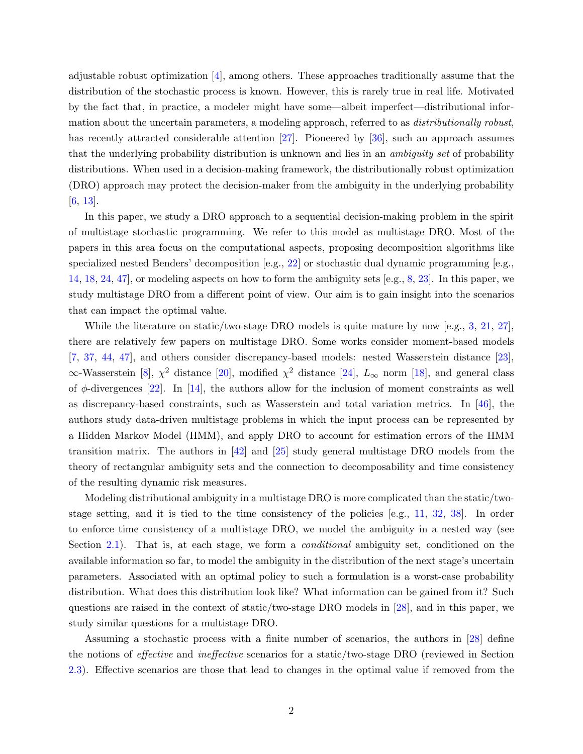adjustable robust optimization [\[4\]](#page-28-1), among others. These approaches traditionally assume that the distribution of the stochastic process is known. However, this is rarely true in real life. Motivated by the fact that, in practice, a modeler might have some—albeit imperfect—distributional information about the uncertain parameters, a modeling approach, referred to as *distributionally robust*, has recently attracted considerable attention [\[27\]](#page-29-1). Pioneered by [\[36\]](#page-30-1), such an approach assumes that the underlying probability distribution is unknown and lies in an ambiguity set of probability distributions. When used in a decision-making framework, the distributionally robust optimization (DRO) approach may protect the decision-maker from the ambiguity in the underlying probability [\[6,](#page-28-2) [13\]](#page-28-3).

In this paper, we study a DRO approach to a sequential decision-making problem in the spirit of multistage stochastic programming. We refer to this model as multistage DRO. Most of the papers in this area focus on the computational aspects, proposing decomposition algorithms like specialized nested Benders' decomposition  $[e.g., 22]$  $[e.g., 22]$  or stochastic dual dynamic programming  $[e.g.,$ [14,](#page-29-3) [18,](#page-29-4) [24,](#page-29-5) [47\]](#page-31-0), or modeling aspects on how to form the ambiguity sets [e.g., [8,](#page-28-4) [23\]](#page-29-6). In this paper, we study multistage DRO from a different point of view. Our aim is to gain insight into the scenarios that can impact the optimal value.

While the literature on static/two-stage DRO models is quite mature by now [e.g., [3,](#page-28-5) [21,](#page-29-7) [27\]](#page-29-1), there are relatively few papers on multistage DRO. Some works consider moment-based models [\[7,](#page-28-6) [37,](#page-30-2) [44,](#page-30-3) [47\]](#page-31-0), and others consider discrepancy-based models: nested Wasserstein distance [\[23\]](#page-29-6),  $\infty$ -Wasserstein [\[8\]](#page-28-4),  $\chi^2$  distance [\[20\]](#page-29-8), modified  $\chi^2$  distance [\[24\]](#page-29-5),  $L_{\infty}$  norm [\[18\]](#page-29-4), and general class of  $\phi$ -divergences [\[22\]](#page-29-2). In [\[14\]](#page-29-3), the authors allow for the inclusion of moment constraints as well as discrepancy-based constraints, such as Wasserstein and total variation metrics. In [\[46\]](#page-30-4), the authors study data-driven multistage problems in which the input process can be represented by a Hidden Markov Model (HMM), and apply DRO to account for estimation errors of the HMM transition matrix. The authors in [\[42\]](#page-30-5) and [\[25\]](#page-29-9) study general multistage DRO models from the theory of rectangular ambiguity sets and the connection to decomposability and time consistency of the resulting dynamic risk measures.

Modeling distributional ambiguity in a multistage DRO is more complicated than the static/twostage setting, and it is tied to the time consistency of the policies [e.g., [11,](#page-28-7) [32,](#page-30-6) [38\]](#page-30-7). In order to enforce time consistency of a multistage DRO, we model the ambiguity in a nested way (see Section [2.1\)](#page-4-0). That is, at each stage, we form a *conditional* ambiguity set, conditioned on the available information so far, to model the ambiguity in the distribution of the next stage's uncertain parameters. Associated with an optimal policy to such a formulation is a worst-case probability distribution. What does this distribution look like? What information can be gained from it? Such questions are raised in the context of static/two-stage DRO models in [\[28\]](#page-29-10), and in this paper, we study similar questions for a multistage DRO.

Assuming a stochastic process with a finite number of scenarios, the authors in [\[28\]](#page-29-10) define the notions of effective and ineffective scenarios for a static/two-stage DRO (reviewed in Section [2.3\)](#page-7-0). Effective scenarios are those that lead to changes in the optimal value if removed from the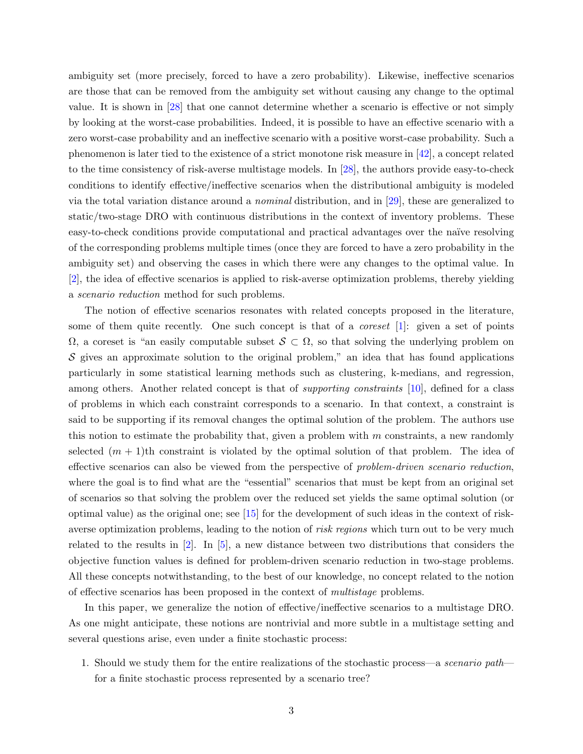ambiguity set (more precisely, forced to have a zero probability). Likewise, ineffective scenarios are those that can be removed from the ambiguity set without causing any change to the optimal value. It is shown in [\[28\]](#page-29-10) that one cannot determine whether a scenario is effective or not simply by looking at the worst-case probabilities. Indeed, it is possible to have an effective scenario with a zero worst-case probability and an ineffective scenario with a positive worst-case probability. Such a phenomenon is later tied to the existence of a strict monotone risk measure in [\[42\]](#page-30-5), a concept related to the time consistency of risk-averse multistage models. In [\[28\]](#page-29-10), the authors provide easy-to-check conditions to identify effective/ineffective scenarios when the distributional ambiguity is modeled via the total variation distance around a nominal distribution, and in [\[29\]](#page-29-11), these are generalized to static/two-stage DRO with continuous distributions in the context of inventory problems. These easy-to-check conditions provide computational and practical advantages over the naïve resolving of the corresponding problems multiple times (once they are forced to have a zero probability in the ambiguity set) and observing the cases in which there were any changes to the optimal value. In [\[2\]](#page-28-8), the idea of effective scenarios is applied to risk-averse optimization problems, thereby yielding a scenario reduction method for such problems.

The notion of effective scenarios resonates with related concepts proposed in the literature, some of them quite recently. One such concept is that of a *coreset*  $[1]$ : given a set of points  $\Omega$ , a coreset is "an easily computable subset  $S \subset \Omega$ , so that solving the underlying problem on  $\mathcal S$  gives an approximate solution to the original problem," an idea that has found applications particularly in some statistical learning methods such as clustering, k-medians, and regression, among others. Another related concept is that of *supporting constraints* [\[10\]](#page-28-10), defined for a class of problems in which each constraint corresponds to a scenario. In that context, a constraint is said to be supporting if its removal changes the optimal solution of the problem. The authors use this notion to estimate the probability that, given a problem with  $m$  constraints, a new randomly selected  $(m + 1)$ th constraint is violated by the optimal solution of that problem. The idea of effective scenarios can also be viewed from the perspective of problem-driven scenario reduction, where the goal is to find what are the "essential" scenarios that must be kept from an original set of scenarios so that solving the problem over the reduced set yields the same optimal solution (or optimal value) as the original one; see [\[15\]](#page-29-12) for the development of such ideas in the context of riskaverse optimization problems, leading to the notion of *risk regions* which turn out to be very much related to the results in [\[2\]](#page-28-8). In [\[5\]](#page-28-11), a new distance between two distributions that considers the objective function values is defined for problem-driven scenario reduction in two-stage problems. All these concepts notwithstanding, to the best of our knowledge, no concept related to the notion of effective scenarios has been proposed in the context of multistage problems.

In this paper, we generalize the notion of effective/ineffective scenarios to a multistage DRO. As one might anticipate, these notions are nontrivial and more subtle in a multistage setting and several questions arise, even under a finite stochastic process:

1. Should we study them for the entire realizations of the stochastic process—a *scenario path* for a finite stochastic process represented by a scenario tree?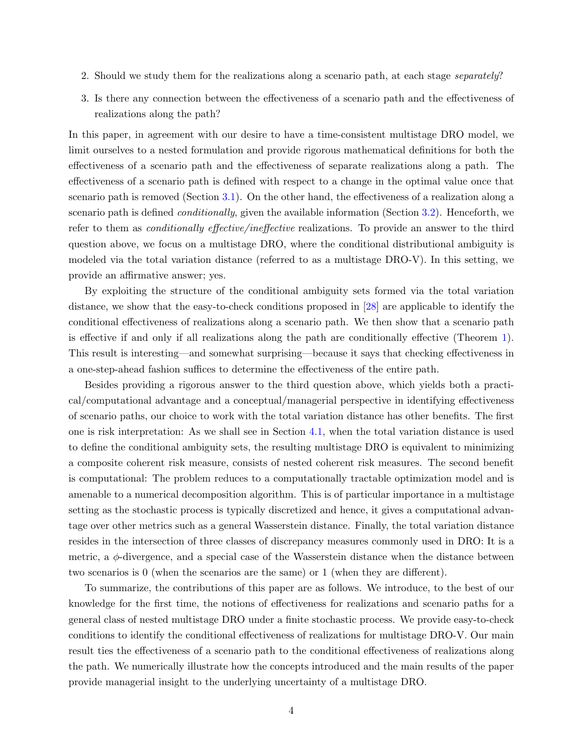- 2. Should we study them for the realizations along a scenario path, at each stage *separately*?
- 3. Is there any connection between the effectiveness of a scenario path and the effectiveness of realizations along the path?

In this paper, in agreement with our desire to have a time-consistent multistage DRO model, we limit ourselves to a nested formulation and provide rigorous mathematical definitions for both the effectiveness of a scenario path and the effectiveness of separate realizations along a path. The effectiveness of a scenario path is defined with respect to a change in the optimal value once that scenario path is removed (Section [3.1\)](#page-8-0). On the other hand, the effectiveness of a realization along a scenario path is defined *conditionally*, given the available information (Section [3.2\)](#page-12-0). Henceforth, we refer to them as *conditionally effective/ineffective* realizations. To provide an answer to the third question above, we focus on a multistage DRO, where the conditional distributional ambiguity is modeled via the total variation distance (referred to as a multistage DRO-V). In this setting, we provide an affirmative answer; yes.

By exploiting the structure of the conditional ambiguity sets formed via the total variation distance, we show that the easy-to-check conditions proposed in [\[28\]](#page-29-10) are applicable to identify the conditional effectiveness of realizations along a scenario path. We then show that a scenario path is effective if and only if all realizations along the path are conditionally effective (Theorem [1\)](#page-18-0). This result is interesting—and somewhat surprising—because it says that checking effectiveness in a one-step-ahead fashion suffices to determine the effectiveness of the entire path.

Besides providing a rigorous answer to the third question above, which yields both a practical/computational advantage and a conceptual/managerial perspective in identifying effectiveness of scenario paths, our choice to work with the total variation distance has other benefits. The first one is risk interpretation: As we shall see in Section [4.1,](#page-15-0) when the total variation distance is used to define the conditional ambiguity sets, the resulting multistage DRO is equivalent to minimizing a composite coherent risk measure, consists of nested coherent risk measures. The second benefit is computational: The problem reduces to a computationally tractable optimization model and is amenable to a numerical decomposition algorithm. This is of particular importance in a multistage setting as the stochastic process is typically discretized and hence, it gives a computational advantage over other metrics such as a general Wasserstein distance. Finally, the total variation distance resides in the intersection of three classes of discrepancy measures commonly used in DRO: It is a metric, a  $\phi$ -divergence, and a special case of the Wasserstein distance when the distance between two scenarios is 0 (when the scenarios are the same) or 1 (when they are different).

To summarize, the contributions of this paper are as follows. We introduce, to the best of our knowledge for the first time, the notions of effectiveness for realizations and scenario paths for a general class of nested multistage DRO under a finite stochastic process. We provide easy-to-check conditions to identify the conditional effectiveness of realizations for multistage DRO-V. Our main result ties the effectiveness of a scenario path to the conditional effectiveness of realizations along the path. We numerically illustrate how the concepts introduced and the main results of the paper provide managerial insight to the underlying uncertainty of a multistage DRO.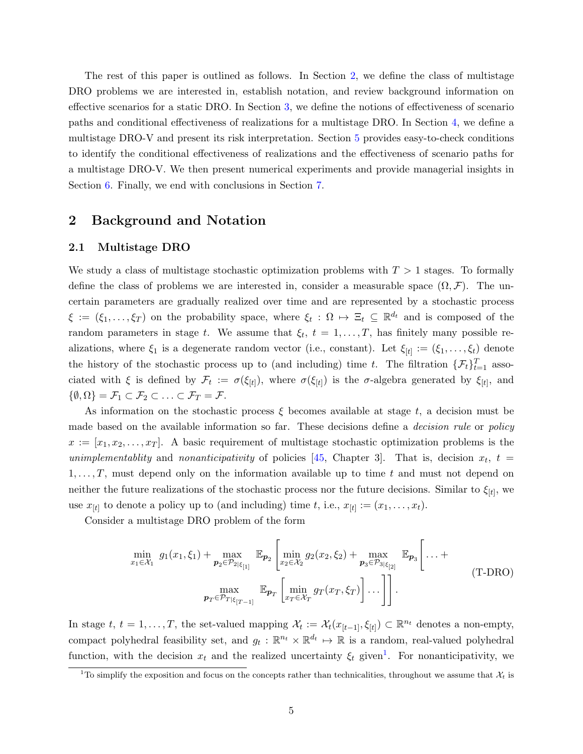The rest of this paper is outlined as follows. In Section [2,](#page-4-1) we define the class of multistage DRO problems we are interested in, establish notation, and review background information on effective scenarios for a static DRO. In Section [3,](#page-7-1) we define the notions of effectiveness of scenario paths and conditional effectiveness of realizations for a multistage DRO. In Section [4,](#page-15-1) we define a multistage DRO-V and present its risk interpretation. Section [5](#page-16-0) provides easy-to-check conditions to identify the conditional effectiveness of realizations and the effectiveness of scenario paths for a multistage DRO-V. We then present numerical experiments and provide managerial insights in Section [6.](#page-25-0) Finally, we end with conclusions in Section [7.](#page-26-0)

## <span id="page-4-1"></span>2 Background and Notation

#### <span id="page-4-0"></span>2.1 Multistage DRO

We study a class of multistage stochastic optimization problems with  $T > 1$  stages. To formally define the class of problems we are interested in, consider a measurable space  $(\Omega, \mathcal{F})$ . The uncertain parameters are gradually realized over time and are represented by a stochastic process  $\xi := (\xi_1, \ldots, \xi_T)$  on the probability space, where  $\xi_t : \Omega \mapsto \Xi_t \subseteq \mathbb{R}^{d_t}$  and is composed of the random parameters in stage t. We assume that  $\xi_t$ ,  $t = 1, \ldots, T$ , has finitely many possible realizations, where  $\xi_1$  is a degenerate random vector (i.e., constant). Let  $\xi_{[t]} := (\xi_1, \ldots, \xi_t)$  denote the history of the stochastic process up to (and including) time t. The filtration  $\{\mathcal{F}_t\}_{t=1}^T$  associated with  $\xi$  is defined by  $\mathcal{F}_t := \sigma(\xi_{[t]})$ , where  $\sigma(\xi_{[t]})$  is the  $\sigma$ -algebra generated by  $\xi_{[t]}$ , and  $\{\emptyset,\Omega\} = \mathcal{F}_1 \subset \mathcal{F}_2 \subset \ldots \subset \mathcal{F}_T = \mathcal{F}.$ 

As information on the stochastic process  $\xi$  becomes available at stage t, a decision must be made based on the available information so far. These decisions define a *decision rule* or *policy*  $x := [x_1, x_2, \ldots, x_T]$ . A basic requirement of multistage stochastic optimization problems is the unimplementablity and nonanticipativity of policies [\[45,](#page-30-0) Chapter 3]. That is, decision  $x_t$ ,  $t =$  $1, \ldots, T$ , must depend only on the information available up to time t and must not depend on neither the future realizations of the stochastic process nor the future decisions. Similar to  $\xi_{[t]}$ , we use  $x_{[t]}$  to denote a policy up to (and including) time t, i.e.,  $x_{[t]} := (x_1, \ldots, x_t)$ .

<span id="page-4-4"></span>Consider a multistage DRO problem of the form

<span id="page-4-3"></span>
$$
\min_{x_1 \in \mathcal{X}_1} g_1(x_1, \xi_1) + \max_{p_2 \in \mathcal{P}_{2|\xi_{[1]}}} \mathbb{E}_{p_2} \left[ \min_{x_2 \in \mathcal{X}_2} g_2(x_2, \xi_2) + \max_{p_3 \in \mathcal{P}_{3|\xi_{[2]}}} \mathbb{E}_{p_3} \left[ \dots + \max_{p_3 \in \mathcal{P}_{3|\xi_{[2]}}} \mathbb{E}_{p_4} \left[ \dots + \frac{\max_{p_T \in \mathcal{P}_{T|\xi_{[T-1]}}} \mathbb{E}_{p_T} \left[ \min_{x_T \in \mathcal{X}_T} g_T(x_T, \xi_T) \right] \dots \right] \right].
$$
\n
$$
(T\text{-DRO})
$$

In stage  $t, t = 1, ..., T$ , the set-valued mapping  $\mathcal{X}_t := \mathcal{X}_t(x_{[t-1]}, \xi_{[t]}) \subset \mathbb{R}^{n_t}$  denotes a non-empty, compact polyhedral feasibility set, and  $g_t : \mathbb{R}^{n_t} \times \mathbb{R}^{d_t} \mapsto \mathbb{R}$  is a random, real-valued polyhedral function, with the decision  $x_t$  and the realized uncertainty  $\xi_t$  given<sup>[1](#page-4-2)</sup>. For nonanticipativity, we

<span id="page-4-2"></span><sup>&</sup>lt;sup>1</sup>To simplify the exposition and focus on the concepts rather than technicalities, throughout we assume that  $\mathcal{X}_t$  is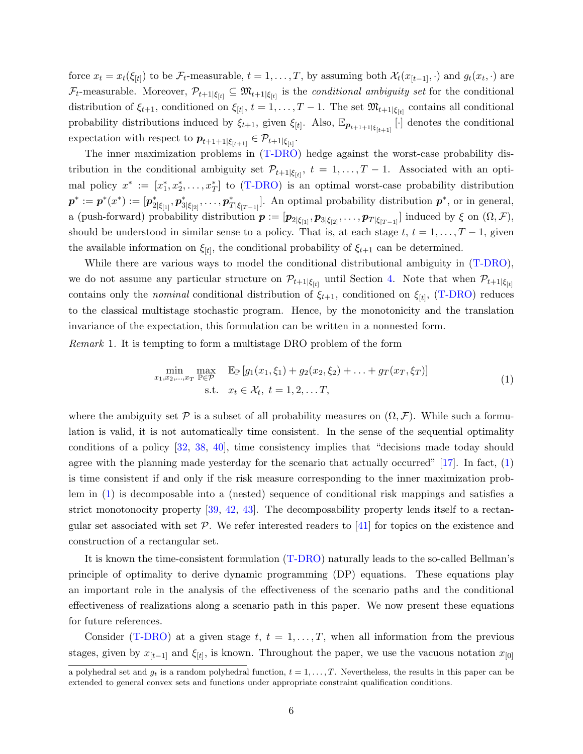force  $x_t = x_t(\xi_{[t]})$  to be  $\mathcal{F}_t$ -measurable,  $t = 1, \ldots, T$ , by assuming both  $\mathcal{X}_t(x_{[t-1]}, \cdot)$  and  $g_t(x_t, \cdot)$  are  $\mathcal{F}_t$ -measurable. Moreover,  $\mathcal{P}_{t+1|\xi_{[t]}} \subseteq \mathfrak{M}_{t+1|\xi_{[t]}}$  is the *conditional ambiguity set* for the conditional distribution of  $\xi_{t+1}$ , conditioned on  $\xi_{[t]}$ ,  $t = 1, \ldots, T-1$ . The set  $\mathfrak{M}_{t+1|\xi_{[t]}}$  contains all conditional probability distributions induced by  $\xi_{t+1}$ , given  $\xi_{[t]}$ . Also,  $\mathbb{E}_{p_{t+1+1|\xi_{[t+1]}}}[ \cdot ]$  denotes the conditional expectation with respect to  $p_{t+1+1|\xi_{[t+1]}} \in \mathcal{P}_{t+1|\xi_{[t]}}$ .

The inner maximization problems in  $(T-DRO)$  hedge against the worst-case probability distribution in the conditional ambiguity set  $\mathcal{P}_{t+1|\xi_{[t]}}, t = 1, \ldots, T-1$ . Associated with an optimal policy  $x^* := [x_1^*, x_2^*, \ldots, x_T^*]$  to [\(T-DRO\)](#page-4-3) is an optimal worst-case probability distribution  $p^* := p^*(x^*) := [p^*_{2|\xi_{[1]}}, p^*_{3|\xi_{[2]}}, \ldots, p^*_{T|\xi_{[T-1]}}].$  An optimal probability distribution  $p^*$ , or in general, a (push-forward) probability distribution  $p := [p_{2|\xi_{[1]}}, p_{3|\xi_{[2]}}, \ldots, p_{T|\xi_{[T-1]}}]$  induced by  $\xi$  on  $(\Omega, \mathcal{F})$ , should be understood in similar sense to a policy. That is, at each stage  $t, t = 1, \ldots, T-1$ , given the available information on  $\xi_{[t]}$ , the conditional probability of  $\xi_{t+1}$  can be determined.

While there are various ways to model the conditional distributional ambiguity in [\(T-DRO\)](#page-4-3), we do not assume any particular structure on  $\mathcal{P}_{t+1|\xi_{[t]}}$  until Section [4.](#page-15-1) Note that when  $\mathcal{P}_{t+1|\xi_{[t]}}$ contains only the *nominal* conditional distribution of  $\xi_{t+1}$ , conditioned on  $\xi_{[t]}$ , [\(T-DRO\)](#page-4-3) reduces to the classical multistage stochastic program. Hence, by the monotonicity and the translation invariance of the expectation, this formulation can be written in a nonnested form.

<span id="page-5-0"></span>Remark 1. It is tempting to form a multistage DRO problem of the form

$$
\min_{x_1, x_2, \dots, x_T} \max_{\mathbb{P} \in \mathcal{P}} \mathbb{E}_{\mathbb{P}} \left[ g_1(x_1, \xi_1) + g_2(x_2, \xi_2) + \dots + g_T(x_T, \xi_T) \right]
$$
\n
$$
\text{s.t.} \quad x_t \in \mathcal{X}_t, \ t = 1, 2, \dots T,
$$
\n
$$
(1)
$$

where the ambiguity set  $\mathcal P$  is a subset of all probability measures on  $(\Omega, \mathcal F)$ . While such a formulation is valid, it is not automatically time consistent. In the sense of the sequential optimality conditions of a policy [\[32,](#page-30-6) [38,](#page-30-7) [40\]](#page-30-8), time consistency implies that "decisions made today should agree with the planning made yesterday for the scenario that actually occurred"  $[17]$ . In fact,  $(1)$ is time consistent if and only if the risk measure corresponding to the inner maximization problem in [\(1\)](#page-4-4) is decomposable into a (nested) sequence of conditional risk mappings and satisfies a strict monotonocity property [\[39,](#page-30-9) [42,](#page-30-5) [43\]](#page-30-10). The decomposability property lends itself to a rectangular set associated with set  $P$ . We refer interested readers to [\[41\]](#page-30-11) for topics on the existence and construction of a rectangular set.

It is known the time-consistent formulation [\(T-DRO\)](#page-4-3) naturally leads to the so-called Bellman's principle of optimality to derive dynamic programming (DP) equations. These equations play an important role in the analysis of the effectiveness of the scenario paths and the conditional effectiveness of realizations along a scenario path in this paper. We now present these equations for future references.

Consider [\(T-DRO\)](#page-4-3) at a given stage  $t, t = 1, \ldots, T$ , when all information from the previous stages, given by  $x_{[t-1]}$  and  $\xi_{[t]}$ , is known. Throughout the paper, we use the vacuous notation  $x_{[0]}$ 

a polyhedral set and  $g_t$  is a random polyhedral function,  $t = 1, \ldots, T$ . Nevertheless, the results in this paper can be extended to general convex sets and functions under appropriate constraint qualification conditions.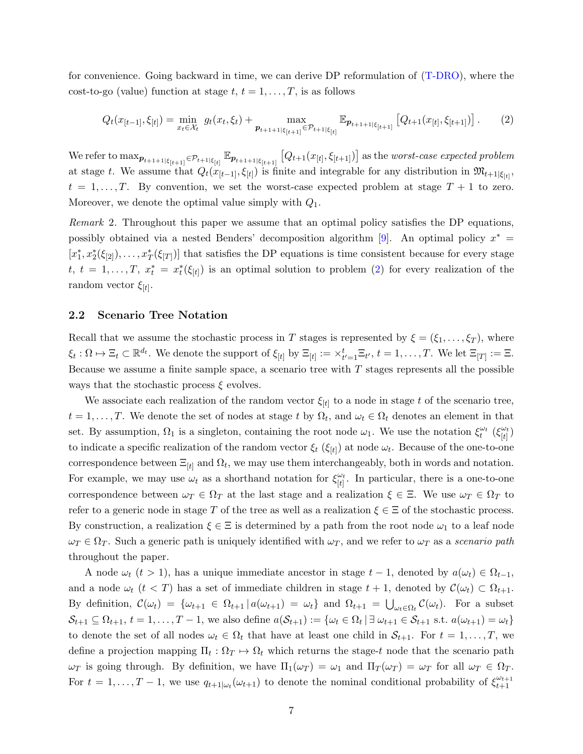for convenience. Going backward in time, we can derive DP reformulation of [\(T-DRO\)](#page-4-3), where the cost-to-go (value) function at stage  $t, t = 1, \ldots, T$ , is as follows

<span id="page-6-0"></span>
$$
Q_t(x_{[t-1]}, \xi_{[t]}) = \min_{x_t \in \mathcal{X}_t} g_t(x_t, \xi_t) + \max_{p_{t+1+1} \in \mathcal{P}_{t+1}} \mathbb{E}_{p_{t+1+1} \in \mathcal{P}_{t+1}} \left[ Q_{t+1}(x_{[t]}, \xi_{[t+1]}) \right].
$$
 (2)

We refer to  $\max_{\bm{p}_{t+1+1|\xi_{[t+1]}} \in \mathcal{P}_{t+1|\xi_{[t]}}}\mathbb{E}_{\bm{p}_{t+1+1|\xi_{[t+1]}}}\left[Q_{t+1}(x_{[t]},\xi_{[t+1]})\right]$  as the worst-case expected problem at stage t. We assume that  $Q_t(x_{[t-1]}, \xi_{[t]})$  is finite and integrable for any distribution in  $\mathfrak{M}_{t+1|\xi_{[t]}},$  $t = 1, \ldots, T$ . By convention, we set the worst-case expected problem at stage  $T + 1$  to zero. Moreover, we denote the optimal value simply with  $Q_1$ .

Remark 2. Throughout this paper we assume that an optimal policy satisfies the DP equations, possibly obtained via a nested Benders' decomposition algorithm [\[9\]](#page-28-0). An optimal policy  $x^* =$  $[x_1^*, x_2^*(\xi_{[2]}), \ldots, x_T^*(\xi_{[T]})]$  that satisfies the DP equations is time consistent because for every stage t,  $t = 1, \ldots, T, x_t^* = x_t^*(\xi_{[t]})$  is an optimal solution to problem [\(2\)](#page-6-0) for every realization of the random vector  $\xi_{[t]}$ .

#### 2.2 Scenario Tree Notation

Recall that we assume the stochastic process in T stages is represented by  $\xi = (\xi_1, \ldots, \xi_T)$ , where  $\xi_t: \Omega \mapsto \Xi_t \subset \mathbb{R}^{d_t}$ . We denote the support of  $\xi_{[t]}$  by  $\Xi_{[t]} := \times_{t'=1}^t \Xi_{t'}$ ,  $t = 1, \ldots, T$ . We let  $\Xi_{[T]} := \Xi$ . Because we assume a finite sample space, a scenario tree with  $T$  stages represents all the possible ways that the stochastic process  $\xi$  evolves.

We associate each realization of the random vector  $\xi_{[t]}$  to a node in stage t of the scenario tree,  $t = 1, \ldots, T$ . We denote the set of nodes at stage t by  $\Omega_t$ , and  $\omega_t \in \Omega_t$  denotes an element in that set. By assumption,  $\Omega_1$  is a singleton, containing the root node  $\omega_1$ . We use the notation  $\xi_t^{\omega_t}$  ( $\xi_{[t]}^{\omega_t}$  $\frac{\omega_t}{|t|})$ to indicate a specific realization of the random vector  $\xi_t$  ( $\xi_{[t]}$ ) at node  $\omega_t$ . Because of the one-to-one correspondence between  $\Xi_{[t]}$  and  $\Omega_t$ , we may use them interchangeably, both in words and notation. For example, we may use  $\omega_t$  as a shorthand notation for  $\xi_{\{t\}}^{\omega_t}$  $\frac{\omega_t}{|t|}$ . In particular, there is a one-to-one correspondence between  $\omega_T \in \Omega_T$  at the last stage and a realization  $\xi \in \Xi$ . We use  $\omega_T \in \Omega_T$  to refer to a generic node in stage T of the tree as well as a realization  $\xi \in \Xi$  of the stochastic process. By construction, a realization  $\xi \in \Xi$  is determined by a path from the root node  $\omega_1$  to a leaf node  $\omega_T \in \Omega_T$ . Such a generic path is uniquely identified with  $\omega_T$ , and we refer to  $\omega_T$  as a scenario path throughout the paper.

A node  $\omega_t$  (t > 1), has a unique immediate ancestor in stage  $t-1$ , denoted by  $a(\omega_t) \in \Omega_{t-1}$ , and a node  $\omega_t$   $(t < T)$  has a set of immediate children in stage  $t + 1$ , denoted by  $\mathcal{C}(\omega_t) \subset \Omega_{t+1}$ . By definition,  $\mathcal{C}(\omega_t) = \{\omega_{t+1} \in \Omega_{t+1} | a(\omega_{t+1}) = \omega_t\}$  and  $\Omega_{t+1} = \bigcup_{\omega_t \in \Omega_t} \mathcal{C}(\omega_t)$ . For a subset  $\mathcal{S}_{t+1} \subseteq \Omega_{t+1}, t = 1, \ldots, T-1$ , we also define  $a(\mathcal{S}_{t+1}) := \{\omega_t \in \Omega_t \mid \exists \omega_{t+1} \in \mathcal{S}_{t+1} \text{ s.t. } a(\omega_{t+1}) = \omega_t\}$ to denote the set of all nodes  $\omega_t \in \Omega_t$  that have at least one child in  $\mathcal{S}_{t+1}$ . For  $t = 1, \ldots, T$ , we define a projection mapping  $\Pi_t : \Omega_T \to \Omega_t$  which returns the stage-t node that the scenario path  $\omega_T$  is going through. By definition, we have  $\Pi_1(\omega_T) = \omega_1$  and  $\Pi_T(\omega_T) = \omega_T$  for all  $\omega_T \in \Omega_T$ . For  $t = 1, \ldots, T-1$ , we use  $q_{t+1|\omega_t}(\omega_{t+1})$  to denote the nominal conditional probability of  $\xi_{t+1}^{\omega_{t+1}}$  $t+1$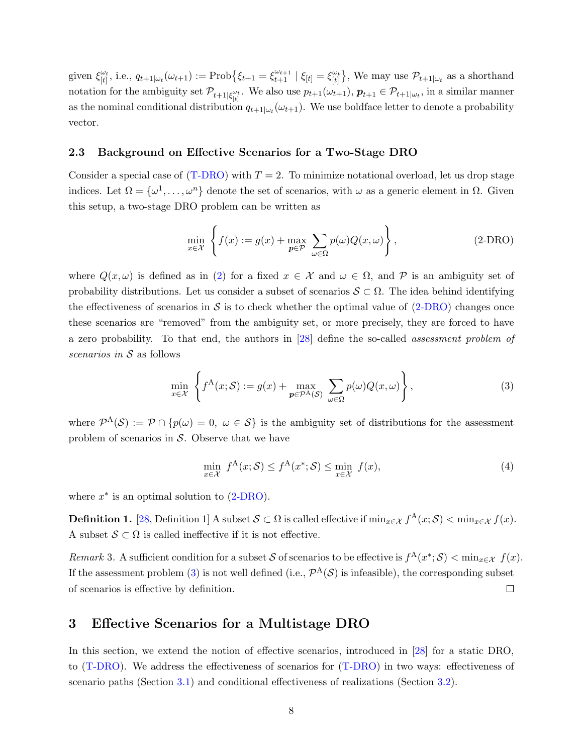given  $\xi_{\text{H}}^{\omega_t}$  $\begin{aligned} \n\omega_t & \omega_t, \text{ i.e., } q_{t+1} | \omega_t(\omega_{t+1}) := \text{Prob}\big\{\xi_{t+1} = \xi_{t+1}^{\omega_{t+1}} \mid \xi_{[t]} = \xi_{[t]}^{\omega_t} \big\} \end{aligned}$  $\begin{bmatrix} \omega_t \\ [t] \end{bmatrix}$ , We may use  $\mathcal{P}_{t+1|\omega_t}$  as a shorthand notation for the ambiguity set  $\mathcal{P}_{t+1|\xi_{[t]}^{\omega_t}}$ . We also use  $p_{t+1}(\omega_{t+1}), p_{t+1} \in \mathcal{P}_{t+1|\omega_t}$ , in a similar manner as the nominal conditional distribution  $q_{t+1|\omega_t}(\omega_{t+1})$ . We use boldface letter to denote a probability vector.

#### <span id="page-7-0"></span>2.3 Background on Effective Scenarios for a Two-Stage DRO

Consider a special case of  $(T\text{-DRO})$  with  $T = 2$ . To minimize notational overload, let us drop stage indices. Let  $\Omega = {\omega^1, \dots, \omega^n}$  denote the set of scenarios, with  $\omega$  as a generic element in  $\Omega$ . Given this setup, a two-stage DRO problem can be written as

<span id="page-7-3"></span><span id="page-7-2"></span>
$$
\min_{x \in \mathcal{X}} \left\{ f(x) := g(x) + \max_{p \in \mathcal{P}} \sum_{\omega \in \Omega} p(\omega) Q(x, \omega) \right\},\tag{2-DRO}
$$

where  $Q(x,\omega)$  is defined as in [\(2\)](#page-6-0) for a fixed  $x \in \mathcal{X}$  and  $\omega \in \Omega$ , and P is an ambiguity set of probability distributions. Let us consider a subset of scenarios  $S \subset \Omega$ . The idea behind identifying the effectiveness of scenarios in  $S$  is to check whether the optimal value of  $(2-DRO)$  changes once these scenarios are "removed" from the ambiguity set, or more precisely, they are forced to have a zero probability. To that end, the authors in [\[28\]](#page-29-10) define the so-called assessment problem of scenarios in S as follows

$$
\min_{x \in \mathcal{X}} \left\{ f^{\mathcal{A}}(x; \mathcal{S}) := g(x) + \max_{\mathbf{p} \in \mathcal{P}^{\mathcal{A}}(\mathcal{S})} \sum_{\omega \in \Omega} p(\omega) Q(x, \omega) \right\},\tag{3}
$$

where  $\mathcal{P}^{A}(\mathcal{S}) := \mathcal{P} \cap \{p(\omega) = 0, \ \omega \in \mathcal{S}\}\$ is the ambiguity set of distributions for the assessment problem of scenarios in  $S$ . Observe that we have

<span id="page-7-6"></span>
$$
\min_{x \in \mathcal{X}} f^{\mathcal{A}}(x; \mathcal{S}) \le f^{\mathcal{A}}(x^*; \mathcal{S}) \le \min_{x \in \mathcal{X}} f(x),\tag{4}
$$

where  $x^*$  is an optimal solution to  $(2-DRO)$ .

<span id="page-7-5"></span>**Definition 1.** [\[28,](#page-29-10) Definition 1] A subset  $S \subset \Omega$  is called effective if  $\min_{x \in \mathcal{X}} f^A(x; \mathcal{S}) < \min_{x \in \mathcal{X}} f(x)$ . A subset  $S \subset \Omega$  is called ineffective if it is not effective.

<span id="page-7-4"></span>Remark 3. A sufficient condition for a subset S of scenarios to be effective is  $f^{A}(x^*; S) < \min_{x \in \mathcal{X}} f(x)$ . If the assessment problem [\(3\)](#page-7-3) is not well defined (i.e.,  $\mathcal{P}^{A}(\mathcal{S})$  is infeasible), the corresponding subset of scenarios is effective by definition.  $\Box$ 

## <span id="page-7-1"></span>3 Effective Scenarios for a Multistage DRO

In this section, we extend the notion of effective scenarios, introduced in [\[28\]](#page-29-10) for a static DRO, to [\(T-DRO\)](#page-4-3). We address the effectiveness of scenarios for [\(T-DRO\)](#page-4-3) in two ways: effectiveness of scenario paths (Section [3.1\)](#page-8-0) and conditional effectiveness of realizations (Section [3.2\)](#page-12-0).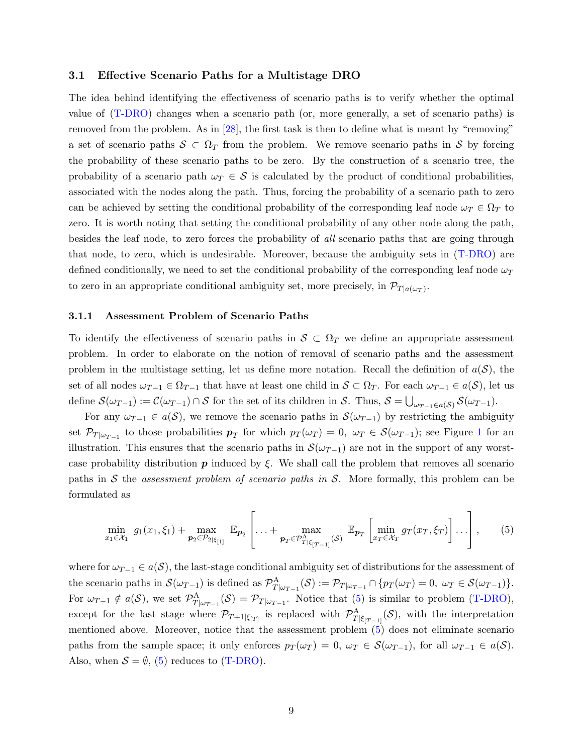#### <span id="page-8-0"></span>3.1 Effective Scenario Paths for a Multistage DRO

The idea behind identifying the effectiveness of scenario paths is to verify whether the optimal value of [\(T-DRO\)](#page-4-3) changes when a scenario path (or, more generally, a set of scenario paths) is removed from the problem. As in [\[28\]](#page-29-10), the first task is then to define what is meant by "removing" a set of scenario paths  $S \subset \Omega_T$  from the problem. We remove scenario paths in S by forcing the probability of these scenario paths to be zero. By the construction of a scenario tree, the probability of a scenario path  $\omega_T \in \mathcal{S}$  is calculated by the product of conditional probabilities, associated with the nodes along the path. Thus, forcing the probability of a scenario path to zero can be achieved by setting the conditional probability of the corresponding leaf node  $\omega_T \in \Omega_T$  to zero. It is worth noting that setting the conditional probability of any other node along the path, besides the leaf node, to zero forces the probability of all scenario paths that are going through that node, to zero, which is undesirable. Moreover, because the ambiguity sets in [\(T-DRO\)](#page-4-3) are defined conditionally, we need to set the conditional probability of the corresponding leaf node  $\omega_T$ to zero in an appropriate conditional ambiguity set, more precisely, in  $\mathcal{P}_{T|a(\omega_T)}$ .

#### 3.1.1 Assessment Problem of Scenario Paths

To identify the effectiveness of scenario paths in  $S \subset \Omega_T$  we define an appropriate assessment problem. In order to elaborate on the notion of removal of scenario paths and the assessment problem in the multistage setting, let us define more notation. Recall the definition of  $a(S)$ , the set of all nodes  $\omega_{T-1} \in \Omega_{T-1}$  that have at least one child in  $S \subset \Omega_T$ . For each  $\omega_{T-1} \in a(S)$ , let us define  $\mathcal{S}(\omega_{T-1}) := \mathcal{C}(\omega_{T-1}) \cap \mathcal{S}$  for the set of its children in  $\mathcal{S}$ . Thus,  $\mathcal{S} = \bigcup_{\omega_{T-1} \in a(\mathcal{S})} \mathcal{S}(\omega_{T-1})$ .

For any  $\omega_{T-1} \in a(S)$ , we remove the scenario paths in  $\mathcal{S}(\omega_{T-1})$  by restricting the ambiguity set  $\mathcal{P}_{T|\omega_{T-1}}$  $\mathcal{P}_{T|\omega_{T-1}}$  $\mathcal{P}_{T|\omega_{T-1}}$  to those probabilities  $p_T$  for which  $p_T(\omega_T) = 0$ ,  $\omega_T \in \mathcal{S}(\omega_{T-1})$ ; see Figure 1 for an illustration. This ensures that the scenario paths in  $\mathcal{S}(\omega_{T-1})$  are not in the support of any worstcase probability distribution  $p$  induced by  $\xi$ . We shall call the problem that removes all scenario paths in S the assessment problem of scenario paths in S. More formally, this problem can be formulated as

<span id="page-8-1"></span>
$$
\min_{x_1 \in \mathcal{X}_1} g_1(x_1, \xi_1) + \max_{\mathbf{p}_2 \in \mathcal{P}_{2|\xi_{[1]}}} \mathbb{E}_{\mathbf{p}_2} \left[ \dots + \max_{\mathbf{p}_T \in \mathcal{P}_{T|\xi_{[T-1]}}^{\Delta}(\mathcal{S})} \mathbb{E}_{\mathbf{p}_T} \left[ \min_{x_T \in \mathcal{X}_T} g_T(x_T, \xi_T) \right] \dots \right], \quad (5)
$$

where for  $\omega_{T-1} \in a(S)$ , the last-stage conditional ambiguity set of distributions for the assessment of the scenario paths in  $\mathcal{S}(\omega_{T-1})$  is defined as  $\mathcal{P}_{T|\omega_{T-1}}^A(\mathcal{S}) := \mathcal{P}_{T|\omega_{T-1}} \cap \{p_T(\omega_T) = 0, \ \omega_T \in \mathcal{S}(\omega_{T-1})\}.$ For  $\omega_{T-1} \notin a(S)$ , we set  $\mathcal{P}_{T|\omega_{T-1}}^{\mathcal{A}}(\mathcal{S}) = \mathcal{P}_{T|\omega_{T-1}}$ . Notice that [\(5\)](#page-8-1) is similar to problem [\(T-DRO\)](#page-4-3), except for the last stage where  $\mathcal{P}_{T+1|\xi_{[T]}}$  is replaced with  $\mathcal{P}_{T|\xi_{[T-1]}}^{\mathcal{A}}(\mathcal{S})$ , with the interpretation mentioned above. Moreover, notice that the assessment problem [\(5\)](#page-8-1) does not eliminate scenario paths from the sample space; it only enforces  $p_T(\omega_T) = 0$ ,  $\omega_T \in \mathcal{S}(\omega_{T-1})$ , for all  $\omega_{T-1} \in a(\mathcal{S})$ . Also, when  $S = \emptyset$ , [\(5\)](#page-8-1) reduces to [\(T-DRO\)](#page-4-3).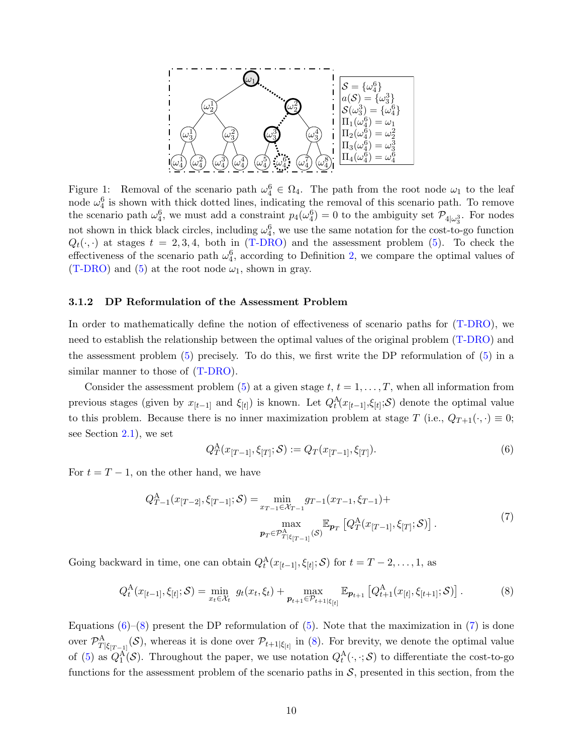<span id="page-9-0"></span>

Figure 1: Removal of the scenario path  $\omega_4^6 \in \Omega_4$ . The path from the root node  $\omega_1$  to the leaf node  $\omega_4^6$  is shown with thick dotted lines, indicating the removal of this scenario path. To remove the scenario path  $\omega_4^6$ , we must add a constraint  $p_4(\omega_4^6) = 0$  to the ambiguity set  $\mathcal{P}_{4|\omega_3^3}$ . For nodes not shown in thick black circles, including  $\omega_4^6$ , we use the same notation for the cost-to-go function  $Q_t(\cdot, \cdot)$  at stages  $t = 2, 3, 4$ , both in [\(T-DRO\)](#page-4-3) and the assessment problem [\(5\)](#page-8-1). To check the effectiveness of the scenario path  $\omega_4^6$ , according to Definition [2,](#page-11-0) we compare the optimal values of  $(T-DRO)$  and  $(5)$  at the root node  $\omega_1$ , shown in gray.

#### <span id="page-9-4"></span>3.1.2 DP Reformulation of the Assessment Problem

In order to mathematically define the notion of effectiveness of scenario paths for [\(T-DRO\)](#page-4-3), we need to establish the relationship between the optimal values of the original problem [\(T-DRO\)](#page-4-3) and the assessment problem [\(5\)](#page-8-1) precisely. To do this, we first write the DP reformulation of [\(5\)](#page-8-1) in a similar manner to those of [\(T-DRO\)](#page-4-3).

Consider the assessment problem [\(5\)](#page-8-1) at a given stage  $t, t = 1, \ldots, T$ , when all information from previous stages (given by  $x_{[t-1]}$  and  $\xi_{[t]}$ ) is known. Let  $Q_t^{\mathcal{A}}(x_{[t-1]}, \xi_{[t]}; S)$  denote the optimal value to this problem. Because there is no inner maximization problem at stage T (i.e.,  $Q_{T+1}(\cdot, \cdot) \equiv 0$ ; see Section [2.1\)](#page-4-0), we set

<span id="page-9-1"></span>
$$
Q_T^{\mathcal{A}}(x_{[T-1]}, \xi_{[T]}; \mathcal{S}) := Q_T(x_{[T-1]}, \xi_{[T]}).
$$
\n(6)

<span id="page-9-3"></span>For  $t = T - 1$ , on the other hand, we have

$$
Q_{T-1}^{A}(x_{[T-2]}, \xi_{[T-1]}; \mathcal{S}) = \min_{x_{T-1} \in \mathcal{X}_{T-1}} g_{T-1}(x_{T-1}, \xi_{T-1}) + \max_{\substack{\text{max} \\ \mathbf{p}_T \in \mathcal{P}_{T|\xi_{[T-1]}}^{\Delta}(\mathcal{S})}} \mathbb{E}_{\mathbf{p}_T} \left[ Q_T^{\mathcal{A}}(x_{[T-1]}, \xi_{[T]}; \mathcal{S}) \right].
$$
\n
$$
(7)
$$

Going backward in time, one can obtain  $Q_t^{\mathcal{A}}(x_{[t-1]}, \xi_{[t]}; \mathcal{S})$  for  $t = T - 2, \ldots, 1$ , as

<span id="page-9-2"></span>
$$
Q_t^A(x_{[t-1]}, \xi_{[t]}; \mathcal{S}) = \min_{x_t \in \mathcal{X}_t} g_t(x_t, \xi_t) + \max_{p_{t+1} \in \mathcal{P}_{t+1} \mid \xi_{[t]}} \mathbb{E}_{p_{t+1}} \left[ Q_{t+1}^A(x_{[t]}, \xi_{[t+1]}; \mathcal{S}) \right]. \tag{8}
$$

Equations  $(6)-(8)$  $(6)-(8)$  $(6)-(8)$  present the DP reformulation of  $(5)$ . Note that the maximization in [\(7\)](#page-9-3) is done over  $\mathcal{P}_{T|\xi_{[T-1]}}^{\mathcal{A}}(\mathcal{S})$ , whereas it is done over  $\mathcal{P}_{t+1|\xi_{[t]}}$  in [\(8\)](#page-9-2). For brevity, we denote the optimal value of [\(5\)](#page-8-1) as  $Q_1^{\text{A}}(\mathcal{S})$ . Throughout the paper, we use notation  $Q_t^{\text{A}}(\cdot,\cdot;\mathcal{S})$  to differentiate the cost-to-go functions for the assessment problem of the scenario paths in  $S$ , presented in this section, from the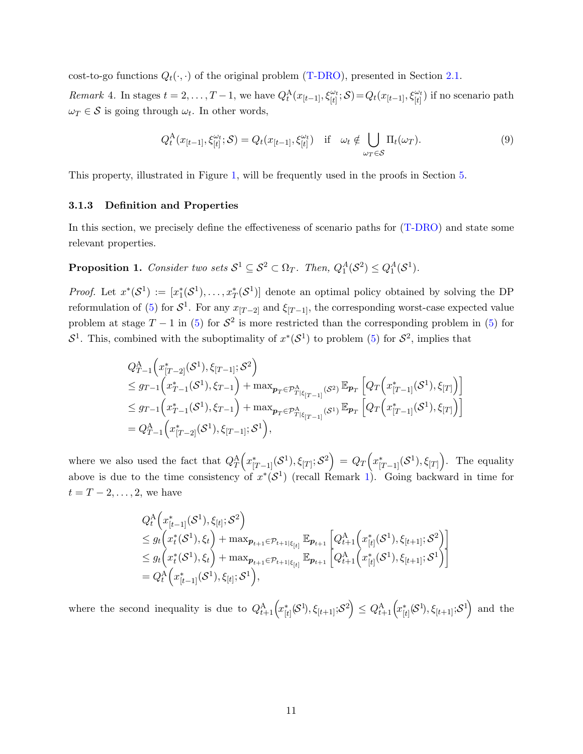cost-to-go functions  $Q_t(\cdot, \cdot)$  of the original problem [\(T-DRO\)](#page-4-3), presented in Section [2.1.](#page-4-0)

<span id="page-10-1"></span>Remark 4. In stages  $t = 2, \ldots, T-1$ , we have  $Q_t^{\mathcal{A}}(x_{[t-1]}, \xi_{[t]}^{\omega_t}; \mathcal{S}) = Q_t(x_{[t-1]}, \xi_{[t]}^{\omega_t})$  if no scenario path  $\omega_T \in \mathcal{S}$  is going through  $\omega_t$ . In other words,

<span id="page-10-2"></span>
$$
Q_t^{\mathcal{A}}(x_{[t-1]}, \xi_{[t]}^{\omega_t}; \mathcal{S}) = Q_t(x_{[t-1]}, \xi_{[t]}^{\omega_t}) \quad \text{if} \quad \omega_t \notin \bigcup_{\omega_T \in \mathcal{S}} \Pi_t(\omega_T). \tag{9}
$$

This property, illustrated in Figure [1,](#page-9-0) will be frequently used in the proofs in Section [5.](#page-16-0)

#### 3.1.3 Definition and Properties

In this section, we precisely define the effectiveness of scenario paths for [\(T-DRO\)](#page-4-3) and state some relevant properties.

<span id="page-10-0"></span>**Proposition 1.** Consider two sets  $S^1 \subseteq S^2 \subset \Omega_T$ . Then,  $Q_1^A(S^2) \leq Q_1^A(S^1)$ .

*Proof.* Let  $x^*(\mathcal{S}^1) := [x_1^*(\mathcal{S}^1), \ldots, x_T^*(\mathcal{S}^1)]$  denote an optimal policy obtained by solving the DP reformulation of [\(5\)](#page-8-1) for  $S^1$ . For any  $x_{[T-2]}$  and  $\xi_{[T-1]}$ , the corresponding worst-case expected value problem at stage  $T - 1$  in [\(5\)](#page-8-1) for  $S^2$  is more restricted than the corresponding problem in (5) for  $S^1$ . This, combined with the suboptimality of  $x^*(S^1)$  to problem [\(5\)](#page-8-1) for  $S^2$ , implies that

$$
Q_{T-1}^{A}\Big(x_{[T-2]}^{*}(\mathcal{S}^{1}), \xi_{[T-1]}; \mathcal{S}^{2}\Big)\leq g_{T-1}\Big(x_{T-1}^{*}(\mathcal{S}^{1}), \xi_{T-1}\Big) + \max_{\mathbf{p}_{T}\in\mathcal{P}_{T|\xi_{[T-1]}}^{A}(\mathcal{S}^{2})} \mathbb{E}_{\mathbf{p}_{T}}\Big[Q_{T}\Big(x_{[T-1]}^{*}(\mathcal{S}^{1}), \xi_{[T]}\Big)\Big]\leq g_{T-1}\Big(x_{T-1}^{*}(\mathcal{S}^{1}), \xi_{T-1}\Big) + \max_{\mathbf{p}_{T}\in\mathcal{P}_{T|\xi_{[T-1]}}^{A}(\mathcal{S}^{1})} \mathbb{E}_{\mathbf{p}_{T}}\Big[Q_{T}\Big(x_{[T-1]}^{*}(\mathcal{S}^{1}), \xi_{[T]}\Big)\Big]= Q_{T-1}^{A}\Big(x_{[T-2]}^{*}(\mathcal{S}^{1}), \xi_{[T-1]}; \mathcal{S}^{1}\Big),
$$

where we also used the fact that  $Q_T^{\mathcal{A}}(x_{[T-1]}^*(\mathcal{S}^1), \xi_{[T]}; \mathcal{S}^2) = Q_T(x_{[T-1]}^*(\mathcal{S}^1), \xi_{[T]})$ . The equality above is due to the time consistency of  $x^*(\mathcal{S}^1)$  $x^*(\mathcal{S}^1)$  (recall Remark 1). Going backward in time for  $t = T - 2, \ldots, 2$ , we have

$$
Q_t^{\mathcal{A}}\left(x_{[t-1]}^*(\mathcal{S}^1), \xi_{[t]}; \mathcal{S}^2\right)
$$
  
\n
$$
\leq g_t\left(x_t^*(\mathcal{S}^1), \xi_t\right) + \max_{\mathbf{p}_{t+1} \in \mathcal{P}_{t+1} \mid \xi_{[t]}} \mathbb{E}_{\mathbf{p}_{t+1}}\left[Q_{t+1}^{\mathcal{A}}\left(x_{[t]}^*(\mathcal{S}^1), \xi_{[t+1]}; \mathcal{S}^2\right)\right]
$$
  
\n
$$
\leq g_t\left(x_t^*(\mathcal{S}^1), \xi_t\right) + \max_{\mathbf{p}_{t+1} \in \mathcal{P}_{t+1} \mid \xi_{[t]}} \mathbb{E}_{\mathbf{p}_{t+1}}\left[Q_{t+1}^{\mathcal{A}}\left(x_{[t]}^*(\mathcal{S}^1), \xi_{[t+1]}; \mathcal{S}^1\right)\right]
$$
  
\n
$$
= Q_t^{\mathcal{A}}\left(x_{[t-1]}^*(\mathcal{S}^1), \xi_{[t]}; \mathcal{S}^1\right),
$$

where the second inequality is due to  $Q_{t+1}^{\mathcal{A}}\left(x_{[t]}^{*}(\mathcal{S}^{1}), \xi_{[t+1]};\mathcal{S}^{2}\right) \leq Q_{t+1}^{\mathcal{A}}\left(x_{[t]}^{*}(\mathcal{S}^{1}), \xi_{[t+1]};\mathcal{S}^{1}\right)$  and the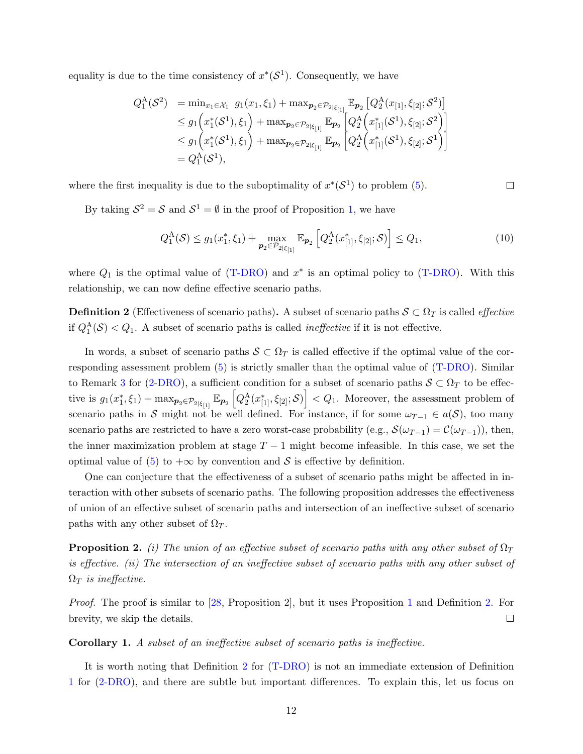equality is due to the time consistency of  $x^*(S^1)$ . Consequently, we have

$$
Q_1^{\mathcal{A}}(\mathcal{S}^2) = \min_{x_1 \in \mathcal{X}_1} g_1(x_1, \xi_1) + \max_{\mathbf{p}_2 \in \mathcal{P}_{2|\xi_{[1]}}} \mathbb{E}_{\mathbf{p}_2} [Q_2^{\mathcal{A}}(x_{[1]}, \xi_{[2]}; \mathcal{S}^2)]
$$
  
\n
$$
\leq g_1\left(x_1^*(\mathcal{S}^1), \xi_1\right) + \max_{\mathbf{p}_2 \in \mathcal{P}_{2|\xi_{[1]}}} \mathbb{E}_{\mathbf{p}_2} [Q_2^{\mathcal{A}}(x_{[1]}^*(\mathcal{S}^1), \xi_{[2]}; \mathcal{S}^2)]
$$
  
\n
$$
\leq g_1\left(x_1^*(\mathcal{S}^1), \xi_1\right) + \max_{\mathbf{p}_2 \in \mathcal{P}_{2|\xi_{[1]}}} \mathbb{E}_{\mathbf{p}_2} [Q_2^{\mathcal{A}}(x_{[1]}^*(\mathcal{S}^1), \xi_{[2]}; \mathcal{S}^1)]
$$
  
\n
$$
= Q_1^{\mathcal{A}}(\mathcal{S}^1),
$$

where the first inequality is due to the suboptimality of  $x^*(\mathcal{S}^1)$  to problem [\(5\)](#page-8-1).

By taking  $S^2 = S$  and  $S^1 = \emptyset$  in the proof of Proposition [1,](#page-10-0) we have

<span id="page-11-1"></span>
$$
Q_1^{\mathcal{A}}(\mathcal{S}) \le g_1(x_1^*, \xi_1) + \max_{\mathbf{p}_2 \in \mathcal{P}_{2|\xi_{[1]}}} \mathbb{E}_{\mathbf{p}_2} \left[ Q_2^{\mathcal{A}}(x_{[1]}^*, \xi_{[2]}; \mathcal{S}) \right] \le Q_1,
$$
\n(10)

 $\Box$ 

where  $Q_1$  is the optimal value of [\(T-DRO\)](#page-4-3) and  $x^*$  is an optimal policy to (T-DRO). With this relationship, we can now define effective scenario paths.

<span id="page-11-0"></span>**Definition 2** (Effectiveness of scenario paths). A subset of scenario paths  $S \subset \Omega_T$  is called *effective* if  $Q_1^{\mathcal{A}}(\mathcal{S}) < Q_1$ . A subset of scenario paths is called *ineffective* if it is not effective.

In words, a subset of scenario paths  $S \subset \Omega_T$  is called effective if the optimal value of the corresponding assessment problem [\(5\)](#page-8-1) is strictly smaller than the optimal value of [\(T-DRO\)](#page-4-3). Similar to Remark [3](#page-7-4) for [\(2-DRO\)](#page-7-2), a sufficient condition for a subset of scenario paths  $S \subset \Omega_T$  to be effective is  $g_1(x_1^*, \xi_1) + \max_{\mathbf{p}_2 \in \mathcal{P}_{2|\xi_{[1]}}} \mathbb{E}_{\mathbf{p}_2} \left[ Q_2^{\mathcal{A}}(x_{[1]}^*, \xi_{[2]}; \mathcal{S}) \right] < Q_1$ . Moreover, the assessment problem of scenario paths in S might not be well defined. For instance, if for some  $\omega_{T-1} \in a(S)$ , too many scenario paths are restricted to have a zero worst-case probability (e.g.,  $\mathcal{S}(\omega_{T-1}) = \mathcal{C}(\omega_{T-1})$ ), then, the inner maximization problem at stage  $T-1$  might become infeasible. In this case, we set the optimal value of [\(5\)](#page-8-1) to  $+\infty$  by convention and S is effective by definition.

One can conjecture that the effectiveness of a subset of scenario paths might be affected in interaction with other subsets of scenario paths. The following proposition addresses the effectiveness of union of an effective subset of scenario paths and intersection of an ineffective subset of scenario paths with any other subset of  $\Omega_T$ .

<span id="page-11-2"></span>**Proposition 2.** (i) The union of an effective subset of scenario paths with any other subset of  $\Omega_T$ is effective. (ii) The intersection of an ineffective subset of scenario paths with any other subset of  $\Omega_T$  is ineffective.

Proof. The proof is similar to [\[28,](#page-29-10) Proposition 2], but it uses Proposition [1](#page-10-0) and Definition [2.](#page-11-0) For  $\Box$ brevity, we skip the details.

#### Corollary 1. A subset of an ineffective subset of scenario paths is ineffective.

It is worth noting that Definition [2](#page-11-0) for [\(T-DRO\)](#page-4-3) is not an immediate extension of Definition [1](#page-7-5) for [\(2-DRO\)](#page-7-2), and there are subtle but important differences. To explain this, let us focus on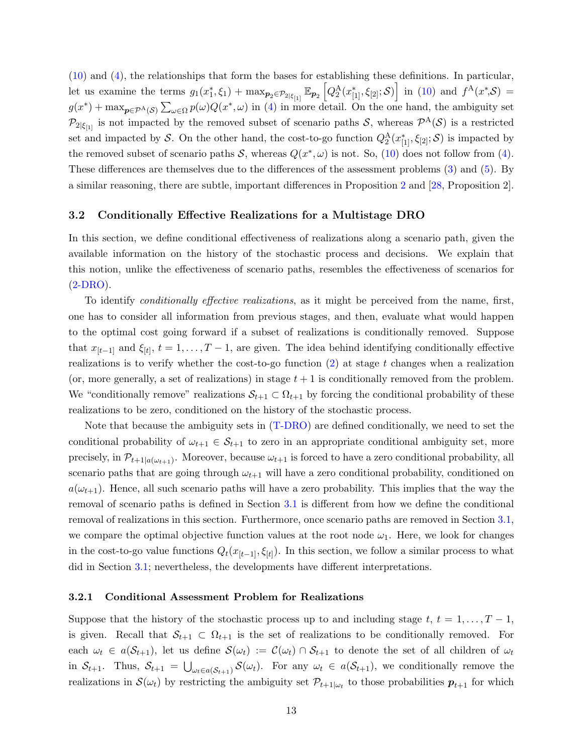[\(10\)](#page-11-1) and [\(4\)](#page-7-6), the relationships that form the bases for establishing these definitions. In particular, Let us examine the terms  $g_1(x_1^*, \xi_1) + \max_{\mathbf{p}_2 \in \mathcal{P}_{2|\xi_{[1]}}} \mathbb{E}_{\mathbf{p}_2} \left[ Q_2^{\mathcal{A}}(x_{[1]}^*, \xi_{[2]}; \mathcal{S}) \right]$  in [\(10\)](#page-11-1) and  $f^{\mathcal{A}}(x^*, \mathcal{S}) =$  $g(x^*) + \max_{p \in \mathcal{P}^{\mathcal{A}}(\mathcal{S})} \sum_{\omega \in \Omega} p(\omega) Q(x^*, \omega)$  in [\(4\)](#page-7-6) in more detail. On the one hand, the ambiguity set  $\mathcal{P}_{2|\xi_{[1]}}$  is not impacted by the removed subset of scenario paths S, whereas  $\mathcal{P}^{A}(\mathcal{S})$  is a restricted set and impacted by S. On the other hand, the cost-to-go function  $Q_2^{\rm A}(x_{[1]}^*, \xi_{[2]}; S)$  is impacted by the removed subset of scenario paths  $S$ , whereas  $Q(x^*, \omega)$  is not. So, [\(10\)](#page-11-1) does not follow from [\(4\)](#page-7-6). These differences are themselves due to the differences of the assessment problems [\(3\)](#page-7-3) and [\(5\)](#page-8-1). By a similar reasoning, there are subtle, important differences in Proposition [2](#page-11-2) and [\[28,](#page-29-10) Proposition 2].

#### <span id="page-12-0"></span>3.2 Conditionally Effective Realizations for a Multistage DRO

In this section, we define conditional effectiveness of realizations along a scenario path, given the available information on the history of the stochastic process and decisions. We explain that this notion, unlike the effectiveness of scenario paths, resembles the effectiveness of scenarios for  $(2-DRO)$ .

To identify conditionally effective realizations, as it might be perceived from the name, first, one has to consider all information from previous stages, and then, evaluate what would happen to the optimal cost going forward if a subset of realizations is conditionally removed. Suppose that  $x_{[t-1]}$  and  $\xi_{[t]}, t = 1, \ldots, T-1$ , are given. The idea behind identifying conditionally effective realizations is to verify whether the cost-to-go function  $(2)$  at stage t changes when a realization (or, more generally, a set of realizations) in stage  $t + 1$  is conditionally removed from the problem. We "conditionally remove" realizations  $S_{t+1} \subset \Omega_{t+1}$  by forcing the conditional probability of these realizations to be zero, conditioned on the history of the stochastic process.

Note that because the ambiguity sets in [\(T-DRO\)](#page-4-3) are defined conditionally, we need to set the conditional probability of  $\omega_{t+1} \in \mathcal{S}_{t+1}$  to zero in an appropriate conditional ambiguity set, more precisely, in  $\mathcal{P}_{t+1|a(\omega_{t+1})}$ . Moreover, because  $\omega_{t+1}$  is forced to have a zero conditional probability, all scenario paths that are going through  $\omega_{t+1}$  will have a zero conditional probability, conditioned on  $a(\omega_{t+1})$ . Hence, all such scenario paths will have a zero probability. This implies that the way the removal of scenario paths is defined in Section [3.1](#page-8-0) is different from how we define the conditional removal of realizations in this section. Furthermore, once scenario paths are removed in Section [3.1,](#page-8-0) we compare the optimal objective function values at the root node  $\omega_1$ . Here, we look for changes in the cost-to-go value functions  $Q_t(x_{[t-1]}, \xi_{[t]})$ . In this section, we follow a similar process to what did in Section [3.1;](#page-8-0) nevertheless, the developments have different interpretations.

#### <span id="page-12-1"></span>3.2.1 Conditional Assessment Problem for Realizations

Suppose that the history of the stochastic process up to and including stage t,  $t = 1, \ldots, T-1$ , is given. Recall that  $S_{t+1} \subset \Omega_{t+1}$  is the set of realizations to be conditionally removed. For each  $\omega_t \in a(\mathcal{S}_{t+1})$ , let us define  $\mathcal{S}(\omega_t) := \mathcal{C}(\omega_t) \cap \mathcal{S}_{t+1}$  to denote the set of all children of  $\omega_t$ in  $S_{t+1}$ . Thus,  $S_{t+1} = \bigcup_{\omega_t \in a(S_{t+1})} S(\omega_t)$ . For any  $\omega_t \in a(S_{t+1})$ , we conditionally remove the realizations in  $\mathcal{S}(\omega_t)$  by restricting the ambiguity set  $\mathcal{P}_{t+1|\omega_t}$  to those probabilities  $p_{t+1}$  for which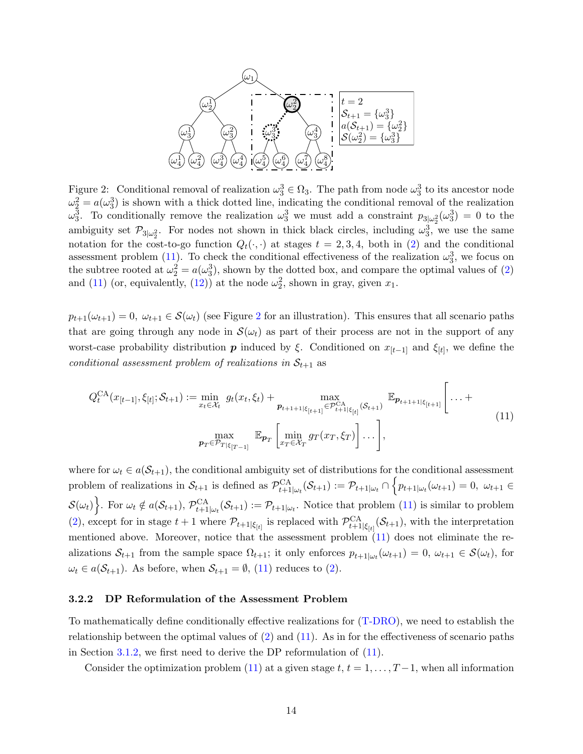<span id="page-13-1"></span>

Figure 2: Conditional removal of realization  $\omega_3^3 \in \Omega_3$ . The path from node  $\omega_3^3$  to its ancestor node  $\omega_2^2 = a(\omega_3^3)$  is shown with a thick dotted line, indicating the conditional removal of the realization  $\omega_3^3$ . To conditionally remove the realization  $\omega_3^3$  we must add a constraint  $p_{3|\omega_2^2}(\omega_3^3) = 0$  to the ambiguity set  $\mathcal{P}_{3|\omega_2^2}$ . For nodes not shown in thick black circles, including  $\omega_3^3$ , we use the same notation for the cost-to-go function  $Q_t(\cdot, \cdot)$  at stages  $t = 2, 3, 4$ , both in [\(2\)](#page-6-0) and the conditional assessment problem [\(11\)](#page-13-0). To check the conditional effectiveness of the realization  $\omega_3^3$ , we focus on the subtree rooted at  $\omega_2^2 = a(\omega_3^3)$ , shown by the dotted box, and compare the optimal values of [\(2\)](#page-6-0) and [\(11\)](#page-13-0) (or, equivalently, [\(12\)](#page-14-0)) at the node  $\omega_2^2$ , shown in gray, given  $x_1$ .

 $p_{t+1}(\omega_{t+1}) = 0$ ,  $\omega_{t+1} \in \mathcal{S}(\omega_t)$  (see Figure [2](#page-13-1) for an illustration). This ensures that all scenario paths that are going through any node in  $\mathcal{S}(\omega_t)$  as part of their process are not in the support of any worst-case probability distribution  $p$  induced by  $\xi$ . Conditioned on  $x_{[t-1]}$  and  $\xi_{[t]}$ , we define the conditional assessment problem of realizations in  $S_{t+1}$  as

<span id="page-13-0"></span>
$$
Q_t^{\text{CA}}(x_{[t-1]}, \xi_{[t]}; \mathcal{S}_{t+1}) := \min_{x_t \in \mathcal{X}_t} g_t(x_t, \xi_t) + \max_{\boldsymbol{p}_{t+1+1|\xi_{[t+1]}} \in \mathcal{P}_{t+1|\xi_{[t]}}^{\text{CA}}(\mathcal{S}_{t+1})} \mathbb{E}_{\boldsymbol{p}_{t+1+1|\xi_{[t+1]}}}\left[\dots + \max_{\boldsymbol{p}_T \in \mathcal{P}_{T|\xi_{[T-1]}}} \mathbb{E}_{\boldsymbol{p}_T}\left[\min_{x_T \in \mathcal{X}_T} g_T(x_T, \xi_T)\right] \dots\right],
$$
\n(11)

where for  $\omega_t \in a(\mathcal{S}_{t+1})$ , the conditional ambiguity set of distributions for the conditional assessment problem of realizations in  $S_{t+1}$  is defined as  $\mathcal{P}_{t+1|\omega_t}^{\text{CA}}(\mathcal{S}_{t+1}) := \mathcal{P}_{t+1|\omega_t} \cap \left\{ p_{t+1|\omega_t}(\omega_{t+1}) = 0, \ \omega_{t+1} \in$  $\mathcal{S}(\omega_t)\bigg\}$ . For  $\omega_t \notin a(\mathcal{S}_{t+1}), \mathcal{P}_{t+1|\omega_t}^{\text{CA}}(\mathcal{S}_{t+1}) := \mathcal{P}_{t+1|\omega_t}$ . Notice that problem [\(11\)](#page-13-0) is similar to problem [\(2\)](#page-6-0), except for in stage  $t+1$  where  $\mathcal{P}_{t+1|\xi_{[t]}}$  is replaced with  $\mathcal{P}_{t+1|\xi_{[t]}}^{CA}(\mathcal{S}_{t+1})$ , with the interpretation mentioned above. Moreover, notice that the assessment problem [\(11\)](#page-13-0) does not eliminate the realizations  $S_{t+1}$  from the sample space  $\Omega_{t+1}$ ; it only enforces  $p_{t+1|\omega_t}(\omega_{t+1}) = 0$ ,  $\omega_{t+1} \in S(\omega_t)$ , for  $\omega_t \in a(\mathcal{S}_{t+1})$ . As before, when  $\mathcal{S}_{t+1} = \emptyset$ , [\(11\)](#page-13-0) reduces to [\(2\)](#page-6-0).

#### <span id="page-13-2"></span>3.2.2 DP Reformulation of the Assessment Problem

To mathematically define conditionally effective realizations for [\(T-DRO\)](#page-4-3), we need to establish the relationship between the optimal values of [\(2\)](#page-6-0) and [\(11\)](#page-13-0). As in for the effectiveness of scenario paths in Section [3.1.2,](#page-9-4) we first need to derive the DP reformulation of [\(11\)](#page-13-0).

Consider the optimization problem [\(11\)](#page-13-0) at a given stage  $t, t = 1, \ldots, T-1$ , when all information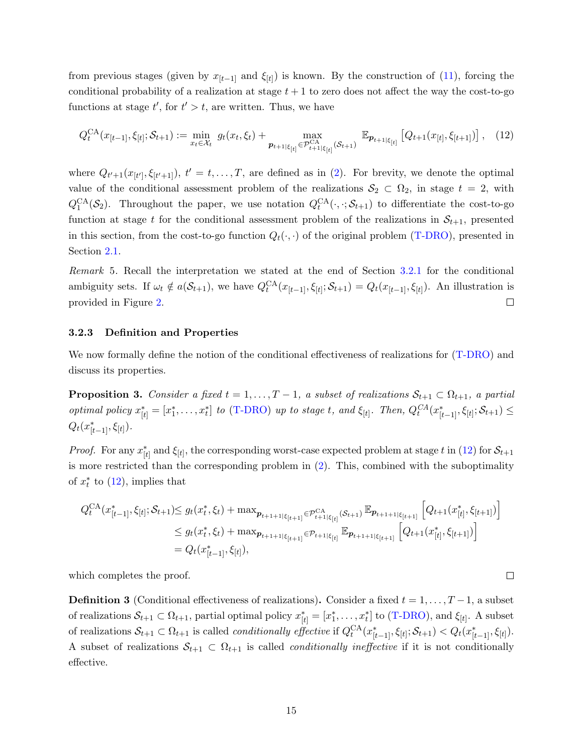from previous stages (given by  $x_{[t-1]}$  and  $\xi_{[t]}$ ) is known. By the construction of [\(11\)](#page-13-0), forcing the conditional probability of a realization at stage  $t + 1$  to zero does not affect the way the cost-to-go functions at stage  $t'$ , for  $t' > t$ , are written. Thus, we have

<span id="page-14-0"></span>
$$
Q_t^{CA}(x_{[t-1]}, \xi_{[t]}; \mathcal{S}_{t+1}) := \min_{x_t \in \mathcal{X}_t} g_t(x_t, \xi_t) + \max_{p_{t+1|\xi_{[t]}} \in \mathcal{P}_{t+1|\xi_{[t]}}^{CA}(\mathcal{S}_{t+1})} \mathbb{E}_{p_{t+1|\xi_{[t]}}}\left[Q_{t+1}(x_{[t]}, \xi_{[t+1]})\right], \quad (12)
$$

where  $Q_{t'+1}(x_{[t]}, \xi_{[t'+1]})$ ,  $t' = t, \ldots, T$ , are defined as in [\(2\)](#page-6-0). For brevity, we denote the optimal value of the conditional assessment problem of the realizations  $S_2 \subset \Omega_2$ , in stage  $t = 2$ , with  $Q_1^{\text{CA}}(\mathcal{S}_2)$ . Throughout the paper, we use notation  $Q_t^{\text{CA}}(\cdot, \cdot; \mathcal{S}_{t+1})$  to differentiate the cost-to-go function at stage t for the conditional assessment problem of the realizations in  $S_{t+1}$ , presented in this section, from the cost-to-go function  $Q_t(\cdot, \cdot)$  of the original problem [\(T-DRO\)](#page-4-3), presented in Section [2.1.](#page-4-0)

Remark 5. Recall the interpretation we stated at the end of Section [3.2.1](#page-12-1) for the conditional ambiguity sets. If  $\omega_t \notin a(\mathcal{S}_{t+1})$ , we have  $Q_t^{CA}(x_{[t-1]}, \xi_{[t]}; \mathcal{S}_{t+1}) = Q_t(x_{[t-1]}, \xi_{[t]})$ . An illustration is provided in Figure [2.](#page-13-1)  $\Box$ 

#### 3.2.3 Definition and Properties

We now formally define the notion of the conditional effectiveness of realizations for [\(T-DRO\)](#page-4-3) and discuss its properties.

<span id="page-14-2"></span>**Proposition 3.** Consider a fixed  $t = 1, ..., T-1$ , a subset of realizations  $S_{t+1} \subset \Omega_{t+1}$ , a partial optimal policy  $x_{[t]}^* = [x_1^*, \ldots, x_t^*]$  to [\(T-DRO\)](#page-4-3) up to stage t, and  $\xi_{[t]}$ . Then,  $Q_t^{CA}(x_{[t-1]}^*, \xi_{[t]}; S_{t+1}) \leq$  $Q_t(x_{[t-1]}^*, \xi_{[t]})$ .

*Proof.* For any  $x_{[t]}^*$  and  $\xi_{[t]}$ , the corresponding worst-case expected problem at stage t in [\(12\)](#page-14-0) for  $S_{t+1}$ is more restricted than the corresponding problem in [\(2\)](#page-6-0). This, combined with the suboptimality of  $x_t^*$  to  $(12)$ , implies that

$$
Q_t^{CA}(x_{[t-1]}^*, \xi_{[t]}; \mathcal{S}_{t+1}) \le g_t(x_t^*, \xi_t) + \max_{\mathbf{p}_{t+1+1|\xi_{[t+1]}}} \in \mathcal{P}_{t+1|\xi_{[t]}}^{CA}(\mathcal{S}_{t+1})} \mathbb{E}_{\mathbf{p}_{t+1+1|\xi_{[t+1]}}} \left[Q_{t+1}(x_{[t]}^*, \xi_{[t+1]})\right]
$$
  

$$
\le g_t(x_t^*, \xi_t) + \max_{\mathbf{p}_{t+1+1|\xi_{[t+1]}}} \in \mathcal{P}_{t+1|\xi_{[t]}} \mathbb{E}_{\mathbf{p}_{t+1+1|\xi_{[t+1]}}} \left[Q_{t+1}(x_{[t]}^*, \xi_{[t+1]})\right]
$$
  

$$
= Q_t(x_{[t-1]}^*, \xi_{[t]}),
$$

 $\Box$ 

which completes the proof.

<span id="page-14-1"></span>**Definition 3** (Conditional effectiveness of realizations). Consider a fixed  $t = 1, \ldots, T-1$ , a subset of realizations  $S_{t+1} \subset \Omega_{t+1}$ , partial optimal policy  $x_{[t]}^* = [x_1^*, \ldots, x_t^*]$  to [\(T-DRO\)](#page-4-3), and  $\xi_{[t]}$ . A subset of realizations  $\mathcal{S}_{t+1} \subset \Omega_{t+1}$  is called *conditionally effective* if  $Q_t^{CA}(x_{[t-1]}^*, \xi_{[t]}; \mathcal{S}_{t+1}) < Q_t(x_{[t-1]}^*, \xi_{[t]})$ . A subset of realizations  $S_{t+1} \subset \Omega_{t+1}$  is called *conditionally ineffective* if it is not conditionally effective.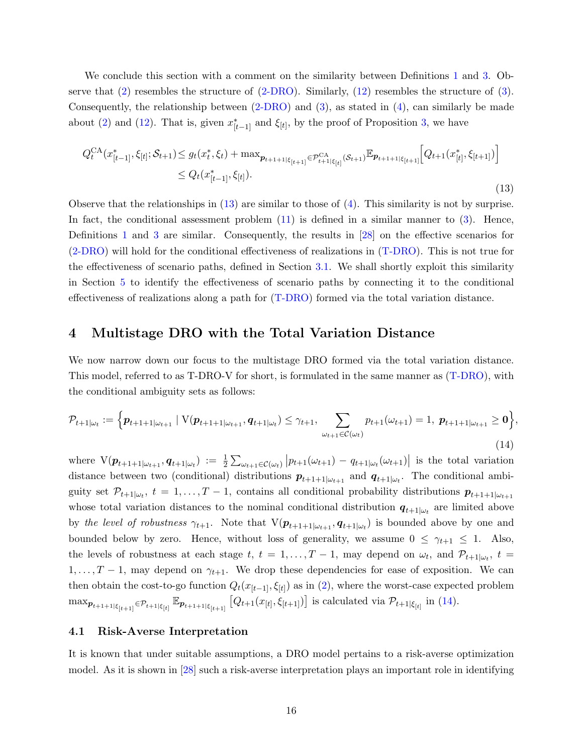We conclude this section with a comment on the similarity between Definitions [1](#page-7-5) and [3.](#page-14-1) Observe that [\(2\)](#page-6-0) resembles the structure of [\(2-DRO\)](#page-7-2). Similarly, [\(12\)](#page-14-0) resembles the structure of [\(3\)](#page-7-3). Consequently, the relationship between  $(2-DRO)$  and  $(3)$ , as stated in  $(4)$ , can similarly be made about [\(2\)](#page-6-0) and [\(12\)](#page-14-0). That is, given  $x_{[t-1]}^*$  and  $\xi_{[t]}$ , by the proof of Proposition [3,](#page-14-2) we have

<span id="page-15-2"></span>
$$
Q_t^{CA}(x_{[t-1]}^*, \xi_{[t]}; \mathcal{S}_{t+1}) \le g_t(x_t^*, \xi_t) + \max_{\mathbf{p}_{t+1+1|\xi_{[t+1]}} \in \mathcal{P}_{t+1|\xi_{[t]}}^{CA}(\mathcal{S}_{t+1})} \mathbb{E}_{\mathbf{p}_{t+1+1|\xi_{[t+1]}}}\Big[Q_{t+1}(x_{[t]}^*, \xi_{[t+1]})\Big] \n\le Q_t(x_{[t-1]}^*, \xi_{[t]}).
$$
\n(13)

Observe that the relationships in [\(13\)](#page-15-2) are similar to those of [\(4\)](#page-7-6). This similarity is not by surprise. In fact, the conditional assessment problem  $(11)$  is defined in a similar manner to  $(3)$ . Hence, Definitions [1](#page-7-5) and [3](#page-14-1) are similar. Consequently, the results in [\[28\]](#page-29-10) on the effective scenarios for [\(2-DRO\)](#page-7-2) will hold for the conditional effectiveness of realizations in [\(T-DRO\)](#page-4-3). This is not true for the effectiveness of scenario paths, defined in Section [3.1.](#page-8-0) We shall shortly exploit this similarity in Section [5](#page-16-0) to identify the effectiveness of scenario paths by connecting it to the conditional effectiveness of realizations along a path for [\(T-DRO\)](#page-4-3) formed via the total variation distance.

#### <span id="page-15-1"></span>4 Multistage DRO with the Total Variation Distance

We now narrow down our focus to the multistage DRO formed via the total variation distance. This model, referred to as T-DRO-V for short, is formulated in the same manner as [\(T-DRO\)](#page-4-3), with the conditional ambiguity sets as follows:

<span id="page-15-3"></span>
$$
\mathcal{P}_{t+1|\omega_t} := \left\{ \boldsymbol{p}_{t+1+1|\omega_{t+1}} \mid \mathcal{V}(\boldsymbol{p}_{t+1+1|\omega_{t+1}}, \boldsymbol{q}_{t+1|\omega_t}) \leq \gamma_{t+1}, \sum_{\omega_{t+1} \in \mathcal{C}(\omega_t)} p_{t+1}(\omega_{t+1}) = 1, \ \boldsymbol{p}_{t+1+1|\omega_{t+1}} \geq \mathbf{0} \right\},\tag{14}
$$

where  $V(\boldsymbol{p}_{t+1+1|\omega_{t+1}}, \boldsymbol{q}_{t+1|\omega_t}) := \frac{1}{2} \sum_{\omega_{t+1} \in \mathcal{C}(\omega_t)} |p_{t+1}(\omega_{t+1}) - q_{t+1|\omega_t}(\omega_{t+1})|$  is the total variation distance between two (conditional) distributions  $p_{t+1+1|\omega_{t+1}|}$  and  $q_{t+1|\omega_t}$ . The conditional ambiguity set  $\mathcal{P}_{t+1|\omega_t}$ ,  $t=1,\ldots,T-1$ , contains all conditional probability distributions  $p_{t+1+1|\omega_{t+1}}$ whose total variation distances to the nominal conditional distribution  $q_{t+1|\omega_t}$  are limited above by the level of robustness  $\gamma_{t+1}$ . Note that  $V(\mathbf{p}_{t+1+1|\omega_{t+1}}, \mathbf{q}_{t+1|\omega_t})$  is bounded above by one and bounded below by zero. Hence, without loss of generality, we assume  $0 \leq \gamma_{t+1} \leq 1$ . Also, the levels of robustness at each stage  $t, t = 1, \ldots, T-1$ , may depend on  $\omega_t$ , and  $\mathcal{P}_{t+1|\omega_t}$ ,  $t =$  $1, \ldots, T-1$ , may depend on  $\gamma_{t+1}$ . We drop these dependencies for ease of exposition. We can then obtain the cost-to-go function  $Q_t(x_{[t-1]}, \xi_{[t]})$  as in [\(2\)](#page-6-0), where the worst-case expected problem  $\max_{\mathbf{p}_{t+1+1|\xi_{[t+1]}} \in \mathcal{P}_{t+1|\xi_{[t]}}}\mathbb{E}_{\mathbf{p}_{t+1+1|\xi_{[t+1]}}}\left[Q_{t+1}(x_{[t]},\xi_{[t+1]})\right]$  is calculated via  $\mathcal{P}_{t+1|\xi_{[t]}}$  in [\(14\)](#page-15-3).

#### <span id="page-15-0"></span>4.1 Risk-Averse Interpretation

It is known that under suitable assumptions, a DRO model pertains to a risk-averse optimization model. As it is shown in [\[28\]](#page-29-10) such a risk-averse interpretation plays an important role in identifying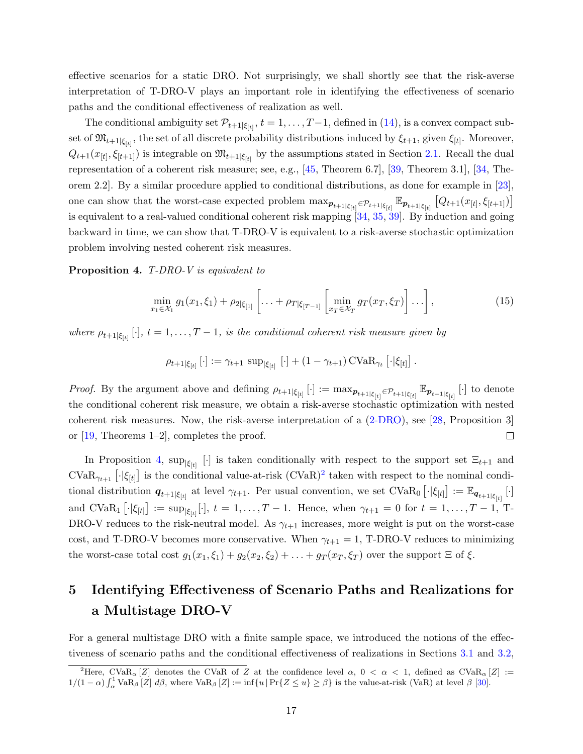effective scenarios for a static DRO. Not surprisingly, we shall shortly see that the risk-averse interpretation of T-DRO-V plays an important role in identifying the effectiveness of scenario paths and the conditional effectiveness of realization as well.

The conditional ambiguity set  $\mathcal{P}_{t+1|\xi_{[t]}}, t = 1, \ldots, T-1$ , defined in [\(14\)](#page-15-3), is a convex compact subset of  $\mathfrak{M}_{t+1|\xi_{[t]}}$ , the set of all discrete probability distributions induced by  $\xi_{t+1}$ , given  $\xi_{[t]}$ . Moreover,  $Q_{t+1}(x_{[t]}, \xi_{[t+1]})$  is integrable on  $\mathfrak{M}_{t+1|\xi_{[t]}}$  by the assumptions stated in Section [2.1.](#page-4-0) Recall the dual representation of a coherent risk measure; see, e.g., [\[45,](#page-30-0) Theorem 6.7], [\[39,](#page-30-9) Theorem 3.1], [\[34,](#page-30-12) Theorem 2.2]. By a similar procedure applied to conditional distributions, as done for example in [\[23\]](#page-29-6), one can show that the worst-case expected problem  $\max_{\mathbf{p}_{t+1|\xi_{[t]}}} \in \mathcal{P}_{t+1|\xi_{[t]}} \mathbb{E}_{\mathbf{p}_{t+1|\xi_{[t]}}}\left[Q_{t+1}(x_{[t]}, \xi_{[t+1]})\right]$ is equivalent to a real-valued conditional coherent risk mapping [\[34,](#page-30-12) [35,](#page-30-13) [39\]](#page-30-9). By induction and going backward in time, we can show that T-DRO-V is equivalent to a risk-averse stochastic optimization problem involving nested coherent risk measures.

<span id="page-16-1"></span>Proposition 4. T-DRO-V is equivalent to

$$
\min_{x_1 \in \mathcal{X}_1} g_1(x_1, \xi_1) + \rho_{2|\xi_{[1]}} \left[ \ldots + \rho_{T|\xi_{[T-1]}} \left[ \min_{x_T \in \mathcal{X}_T} g_T(x_T, \xi_T) \right] \ldots \right],
$$
\n(15)

where  $\rho_{t+1|\xi_{[t]}}[\cdot], t = 1, \ldots, T-1$ , is the conditional coherent risk measure given by

$$
\rho_{t+1|\xi_{[t]}}\left[\cdot\right] := \gamma_{t+1} \, \sup_{|\xi_{[t]}}\left[\cdot\right] + \left(1-\gamma_{t+1}\right) \mathrm{CVaR}_{\gamma_t}\left[\cdot|\xi_{[t]}\right].
$$

*Proof.* By the argument above and defining  $\rho_{t+1|\xi_{[t]}}[\cdot] := \max_{\mathbf{p}_{t+1|\xi_{[t]}} \in \mathcal{P}_{t+1|\xi_{[t]}}}\mathbb{E}_{\mathbf{p}_{t+1|\xi_{[t]}}}[ \cdot]$  to denote the conditional coherent risk measure, we obtain a risk-averse stochastic optimization with nested coherent risk measures. Now, the risk-averse interpretation of a [\(2-DRO\)](#page-7-2), see [\[28,](#page-29-10) Proposition 3] or [\[19,](#page-29-14) Theorems 1–2], completes the proof.  $\Box$ 

In Proposition [4,](#page-16-1)  $\sup_{|\xi_{[t]}} [\cdot]$  is taken conditionally with respect to the support set  $\Xi_{t+1}$  and  $\text{CVaR}_{\gamma_{t+1}}$   $[\cdot | \xi_{[t]}]$  is the conditional value-at-risk  $(\text{CVaR})^2$  $(\text{CVaR})^2$  taken with respect to the nominal conditional distribution  $q_{t+1|\xi_{[t]}}$  at level  $\gamma_{t+1}$ . Per usual convention, we set  $CVaR_0\left[\cdot|\xi_{[t]}\right] := \mathbb{E}_{q_{t+1|\xi_{[t]}}}[\cdot]$ and  $CVaR_1\left[\cdot|\xi_{[t]}\right] := \sup_{|\xi_{[t]}|}[\cdot], t = 1, \ldots, T-1$ . Hence, when  $\gamma_{t+1} = 0$  for  $t = 1, \ldots, T-1$ , T-DRO-V reduces to the risk-neutral model. As  $\gamma_{t+1}$  increases, more weight is put on the worst-case cost, and T-DRO-V becomes more conservative. When  $\gamma_{t+1} = 1$ , T-DRO-V reduces to minimizing the worst-case total cost  $g_1(x_1, \xi_1) + g_2(x_2, \xi_2) + \ldots + g_T(x_T, \xi_T)$  over the support  $\Xi$  of  $\xi$ .

## <span id="page-16-0"></span>5 Identifying Effectiveness of Scenario Paths and Realizations for a Multistage DRO-V

For a general multistage DRO with a finite sample space, we introduced the notions of the effectiveness of scenario paths and the conditional effectiveness of realizations in Sections [3.1](#page-8-0) and [3.2,](#page-12-0)

<span id="page-16-2"></span><sup>&</sup>lt;sup>2</sup>Here, CVaR<sub>α</sub> [Z] denotes the CVaR of Z at the confidence level  $\alpha$ ,  $0 < \alpha < 1$ , defined as CVaR<sub>α</sub> [Z] :=  $1/(1-\alpha)\int_{\alpha}^{1} \text{VaR}_{\beta} [Z] d\beta$ , where  $\text{VaR}_{\beta} [Z] := \inf \{u \mid \text{Pr}\{Z \leq u\} \geq \beta\}$  is the value-at-risk (VaR) at level  $\beta$  [\[30\]](#page-30-14).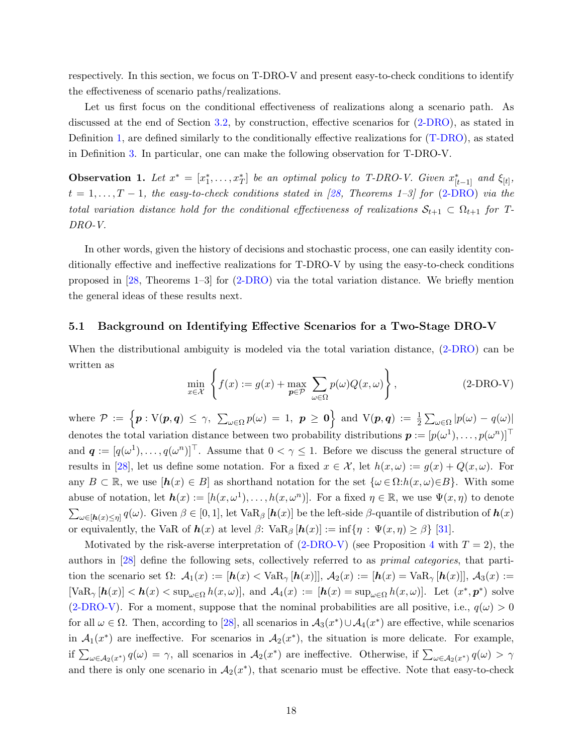respectively. In this section, we focus on T-DRO-V and present easy-to-check conditions to identify the effectiveness of scenario paths/realizations.

Let us first focus on the conditional effectiveness of realizations along a scenario path. As discussed at the end of Section [3.2,](#page-12-0) by construction, effective scenarios for [\(2-DRO\)](#page-7-2), as stated in Definition [1,](#page-7-5) are defined similarly to the conditionally effective realizations for [\(T-DRO\)](#page-4-3), as stated in Definition [3.](#page-14-1) In particular, one can make the following observation for T-DRO-V.

<span id="page-17-1"></span>**Observation 1.** Let  $x^* = [x_1^*, \ldots, x_T^*]$  be an optimal policy to T-DRO-V. Given  $x_{[t-1]}^*$  and  $\xi_{[t]}$ ,  $t = 1, \ldots, T-1$ , the easy-to-check conditions stated in [\[28,](#page-29-10) Theorems 1–3] for [\(2-DRO\)](#page-7-2) via the total variation distance hold for the conditional effectiveness of realizations  $S_{t+1} \subset \Omega_{t+1}$  for T-DRO-V.

In other words, given the history of decisions and stochastic process, one can easily identity conditionally effective and ineffective realizations for T-DRO-V by using the easy-to-check conditions proposed in [\[28,](#page-29-10) Theorems 1–3] for [\(2-DRO\)](#page-7-2) via the total variation distance. We briefly mention the general ideas of these results next.

#### <span id="page-17-3"></span>5.1 Background on Identifying Effective Scenarios for a Two-Stage DRO-V

When the distributional ambiguity is modeled via the total variation distance,  $(2-DRO)$  can be written as

<span id="page-17-2"></span><span id="page-17-0"></span>
$$
\min_{x \in \mathcal{X}} \left\{ f(x) := g(x) + \max_{p \in \mathcal{P}} \sum_{\omega \in \Omega} p(\omega) Q(x, \omega) \right\},\tag{2-DRO-V}
$$

where  $\mathcal{P} \ := \ \Big\{ \bm{p} : \mathrm{V}(\bm{p},\bm{q}) \ \leq \ \gamma, \ \ \sum_{\omega \in \Omega} p(\omega) \ = \ 1, \ \ \bm{p} \ \geq \ \bm{0} \Big\} \ \ \text{and} \ \ \mathrm{V}(\bm{p},\bm{q}) \ := \ \frac{1}{2} \sum_{\omega \in \Omega} |p(\omega) \ - \ q(\omega)|$ denotes the total variation distance between two probability distributions  $\boldsymbol{p} := [p(\omega^1), \dots, p(\omega^n)]^\top$ and  $q := [q(\omega^1), \ldots, q(\omega^n)]^\top$ . Assume that  $0 < \gamma \leq 1$ . Before we discuss the general structure of results in [\[28\]](#page-29-10), let us define some notation. For a fixed  $x \in \mathcal{X}$ , let  $h(x, \omega) := g(x) + Q(x, \omega)$ . For any  $B \subset \mathbb{R}$ , we use  $[h(x) \in B]$  as shorthand notation for the set  $\{\omega \in \Omega : h(x, \omega) \in B\}$ . With some abuse of notation, let  $h(x) := [h(x, \omega^1), \ldots, h(x, \omega^n)]$ . For a fixed  $\eta \in \mathbb{R}$ , we use  $\Psi(x, \eta)$  to denote  $\sum_{\omega \in [\mathbf{h}(x) \leq \eta]} q(\omega)$ . Given  $\beta \in [0,1]$ , let Va $\mathbb{R}_{\beta} [\mathbf{h}(x)]$  be the left-side  $\beta$ -quantile of distribution of  $\mathbf{h}(x)$ or equivalently, the VaR of  $h(x)$  at level  $\beta$ : VaR<sub>β</sub>  $[h(x)] := \inf\{\eta : \Psi(x, \eta) \ge \beta\}$  [\[31\]](#page-30-15).

Motivated by the risk-averse interpretation of  $(2-DRO-V)$  (see Proposition [4](#page-16-1) with  $T=2$ ), the authors in [\[28\]](#page-29-10) define the following sets, collectively referred to as primal categories, that partition the scenario set  $\Omega: A_1(x) := [\mathbf{h}(x) \times \text{VaR}_{\gamma} [\mathbf{h}(x)]]$ ,  $A_2(x) := [\mathbf{h}(x) \times \text{VaR}_{\gamma} [\mathbf{h}(x)]]$ ,  $A_3(x) :=$  $[\text{VaR}_{\gamma}[h(x)] < h(x) < \sup_{\omega \in \Omega} h(x, \omega)]$ , and  $\mathcal{A}_4(x) := [h(x) = \sup_{\omega \in \Omega} h(x, \omega)]$ . Let  $(x^*, p^*)$  solve [\(2-DRO-V\)](#page-17-0). For a moment, suppose that the nominal probabilities are all positive, i.e.,  $q(\omega) > 0$ for all  $\omega \in \Omega$ . Then, according to [\[28\]](#page-29-10), all scenarios in  $\mathcal{A}_3(x^*) \cup \mathcal{A}_4(x^*)$  are effective, while scenarios in  $\mathcal{A}_1(x^*)$  are ineffective. For scenarios in  $\mathcal{A}_2(x^*)$ , the situation is more delicate. For example, if  $\sum_{\omega \in A_2(x^*)} q(\omega) = \gamma$ , all scenarios in  $A_2(x^*)$  are ineffective. Otherwise, if  $\sum_{\omega \in A_2(x^*)} q(\omega) > \gamma$ and there is only one scenario in  $A_2(x^*)$ , that scenario must be effective. Note that easy-to-check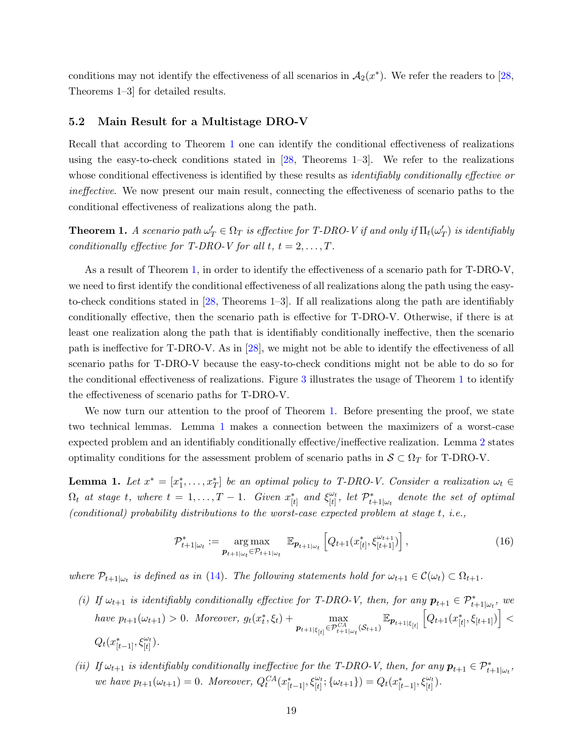conditions may not identify the effectiveness of all scenarios in  $\mathcal{A}_2(x^*)$ . We refer the readers to [\[28,](#page-29-10) Theorems 1–3] for detailed results.

#### 5.2 Main Result for a Multistage DRO-V

Recall that according to Theorem [1](#page-17-1) one can identify the conditional effectiveness of realizations using the easy-to-check conditions stated in  $[28,$  Theorems 1–3. We refer to the realizations whose conditional effectiveness is identified by these results as *identifiably conditionally effective or* ineffective. We now present our main result, connecting the effectiveness of scenario paths to the conditional effectiveness of realizations along the path.

<span id="page-18-0"></span>**Theorem 1.** A scenario path  $\omega'_T \in \Omega_T$  is effective for T-DRO-V if and only if  $\Pi_t(\omega'_T)$  is identifiably conditionally effective for T-DRO-V for all  $t, t = 2, \ldots, T$ .

As a result of Theorem [1,](#page-18-0) in order to identify the effectiveness of a scenario path for T-DRO-V, we need to first identify the conditional effectiveness of all realizations along the path using the easyto-check conditions stated in [\[28,](#page-29-10) Theorems 1–3]. If all realizations along the path are identifiably conditionally effective, then the scenario path is effective for T-DRO-V. Otherwise, if there is at least one realization along the path that is identifiably conditionally ineffective, then the scenario path is ineffective for T-DRO-V. As in [\[28\]](#page-29-10), we might not be able to identify the effectiveness of all scenario paths for T-DRO-V because the easy-to-check conditions might not be able to do so for the conditional effectiveness of realizations. Figure [3](#page-19-0) illustrates the usage of Theorem [1](#page-18-0) to identify the effectiveness of scenario paths for T-DRO-V.

We now turn our attention to the proof of Theorem [1.](#page-18-0) Before presenting the proof, we state two technical lemmas. Lemma [1](#page-18-1) makes a connection between the maximizers of a worst-case expected problem and an identifiably conditionally effective/ineffective realization. Lemma [2](#page-19-1) states optimality conditions for the assessment problem of scenario paths in  $S \subset \Omega_T$  for T-DRO-V.

<span id="page-18-1"></span>**Lemma 1.** Let  $x^* = [x_1^*, \ldots, x_T^*]$  be an optimal policy to T-DRO-V. Consider a realization  $\omega_t \in$  $\Omega_t$  at stage t, where  $t = 1, ..., T - 1$ . Given  $x_{[t]}^*$  and  $\xi_{[t]}^{\omega_t}$  $\begin{array}{c} \omega_t \ (\epsilon_t^t) \end{array}$ , let  $\mathcal{P}_{t+1|\omega_t}^*$  denote the set of optimal (conditional) probability distributions to the worst-case expected problem at stage t, i.e.,

$$
\mathcal{P}_{t+1|\omega_t}^* := \underset{\mathbf{p}_{t+1|\omega_t} \in \mathcal{P}_{t+1|\omega_t}}{\arg \max} \mathbb{E}_{\mathbf{p}_{t+1|\omega_t}} \left[ Q_{t+1}(x_{[t]}^*, \xi_{[t+1]}^{\omega_{t+1}}) \right],
$$
\n(16)

where  $\mathcal{P}_{t+1|\omega_t}$  is defined as in [\(14\)](#page-15-3). The following statements hold for  $\omega_{t+1} \in \mathcal{C}(\omega_t) \subset \Omega_{t+1}$ .

- <span id="page-18-2"></span>(i) If  $\omega_{t+1}$  is identifiably conditionally effective for T-DRO-V, then, for any  $p_{t+1} \in \mathcal{P}_{t+1|\omega_t}^*$ , we have  $p_{t+1}(\omega_{t+1}) > 0$ . Moreover,  $g_t(x_t^*, \xi_t) + \max_{\substack{\pi \in \mathbb{C}^d}}$  $\max_{\boldsymbol{p}_{t+1|\xi_{[t]}}\in\mathcal{P}_{t+1|\omega_t}^{CA}(\mathcal{S}_{t+1})}\mathbb{E}_{\boldsymbol{p}_{t+1|\xi_{[t]}}}\left[Q_{t+1}(x_{[t]}^*,\xi_{[t+1]})\right]<$  $Q_t(x_{[t-1]}^*, \xi_{[t]}^{\omega_t}).$
- <span id="page-18-3"></span>(ii) If  $\omega_{t+1}$  is identifiably conditionally ineffective for the T-DRO-V, then, for any  $p_{t+1} \in \mathcal{P}_{t+1|\omega_t}^*$ , we have  $p_{t+1}(\omega_{t+1}) = 0$ . Moreover,  $Q_t^{CA}(x_{[t-1]}^*, \xi_{[t]}^{\omega_t}; \{\omega_{t+1}\}) = Q_t(x_{[t-1]}^*, \xi_{[t]}^{\omega_t})$ .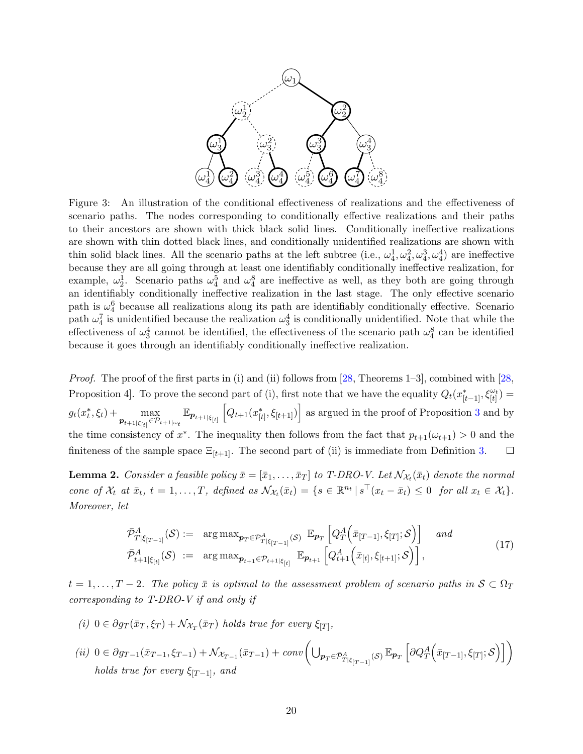<span id="page-19-0"></span>

Figure 3: An illustration of the conditional effectiveness of realizations and the effectiveness of scenario paths. The nodes corresponding to conditionally effective realizations and their paths to their ancestors are shown with thick black solid lines. Conditionally ineffective realizations are shown with thin dotted black lines, and conditionally unidentified realizations are shown with thin solid black lines. All the scenario paths at the left subtree (i.e.,  $\omega_4^1, \omega_4^2, \omega_4^3, \omega_4^4$ ) are ineffective because they are all going through at least one identifiably conditionally ineffective realization, for example,  $\omega_1^1$ . Scenario paths  $\omega_4^5$  and  $\omega_4^8$  are ineffective as well, as they both are going through an identifiably conditionally ineffective realization in the last stage. The only effective scenario path is  $\omega_4^6$  because all realizations along its path are identifiably conditionally effective. Scenario path  $\omega_4^7$  is unidentified because the realization  $\omega_3^4$  is conditionally unidentified. Note that while the effectiveness of  $\omega_3^4$  cannot be identified, the effectiveness of the scenario path  $\omega_4^8$  can be identified because it goes through an identifiably conditionally ineffective realization.

*Proof.* The proof of the first parts in (i) and (ii) follows from  $[28,$  Theorems 1–3], combined with  $[28,$ Proposition 4. To prove the second part of (i), first note that we have the equality  $Q_t(x_{[t-1]}^*, \xi_{[t]}^{\omega_t}) =$  $\max_{\boldsymbol{p}_{t+1|\xi_{[t]}} \in \mathcal{P}_{t+1|\omega_t}} \mathbb{E}_{\boldsymbol{p}_{t+1|\xi_{[t]}}} \left[ Q_{t+1}(x_{[t]}^*, \xi_{[t+1]}) \right]$  as argued in the proof of Proposition [3](#page-14-2) and by  $g_t(x_t^*, \xi_t) + \max_{\substack{\longrightarrow \\ \longleftarrow}}$ the time consistency of  $x^*$ . The inequality then follows from the fact that  $p_{t+1}(\omega_{t+1}) > 0$  and the finiteness of the sample space  $\Xi_{[t+1]}$ . The second part of (ii) is immediate from Definition [3.](#page-14-1)  $\Box$ 

<span id="page-19-1"></span>**Lemma 2.** Consider a feasible policy  $\bar{x} = [\bar{x}_1, \ldots, \bar{x}_T]$  to T-DRO-V. Let  $\mathcal{N}_{\mathcal{X}_t}(\bar{x}_t)$  denote the normal cone of  $\mathcal{X}_t$  at  $\bar{x}_t$ ,  $t = 1, ..., T$ , defined as  $\mathcal{N}_{\mathcal{X}_t}(\bar{x}_t) = \{s \in \mathbb{R}^{n_t} \mid s^\top (x_t - \bar{x}_t) \leq 0 \text{ for all } x_t \in \mathcal{X}_t\}.$ Moreover, let

<span id="page-19-2"></span>
$$
\bar{\mathcal{P}}_{T|\xi_{[T-1]}}^{A}(\mathcal{S}) := \arg \max_{\mathbf{p}_{T} \in \mathcal{P}_{T|\xi_{[T-1]}}^{A}(\mathcal{S})} \mathbb{E}_{\mathbf{p}_{T}} \left[ Q_{T}^{A} \left( \bar{x}_{[T-1]}, \xi_{[T]}; \mathcal{S} \right) \right] \quad and \n\bar{\mathcal{P}}_{t+1|\xi_{[t]}}^{A}(\mathcal{S}) := \arg \max_{\mathbf{p}_{t+1} \in \mathcal{P}_{t+1|\xi_{[t]}}} \mathbb{E}_{\mathbf{p}_{t+1}} \left[ Q_{t+1}^{A} \left( \bar{x}_{[t]}, \xi_{[t+1]}; \mathcal{S} \right) \right],
$$
\n(17)

 $t = 1, \ldots, T-2$ . The policy  $\bar{x}$  is optimal to the assessment problem of scenario paths in  $S \subset \Omega_T$ corresponding to T-DRO-V if and only if

- (i)  $0 \in \partial g_T(\bar{x}_T, \xi_T) + \mathcal{N}_{\mathcal{X}_T}(\bar{x}_T)$  holds true for every  $\xi_{[T]},$
- $(ii)\ \ 0\in\partial g_{T-1}(\bar{x}_{T-1},\xi_{T-1})+\mathcal{N}_{\mathcal{X}_{T-1}}(\bar{x}_{T-1})\\ \nonumber +\ conv\biggl(\bigcup_{\boldsymbol{p}_T\in\bar{\mathcal{P}}_{T\vert\xi_{\vert T-1\vert}}^A(\mathcal{S})}\mathbb{E}_{\boldsymbol{p}_T}\left[\partial Q_{T}^A\Big(\bar{x}_{\vert T-1\vert},\xi_{\vert T\vert};\mathcal{S}\Big)\right]\biggr)$ holds true for every  $\xi_{[T-1]}$ , and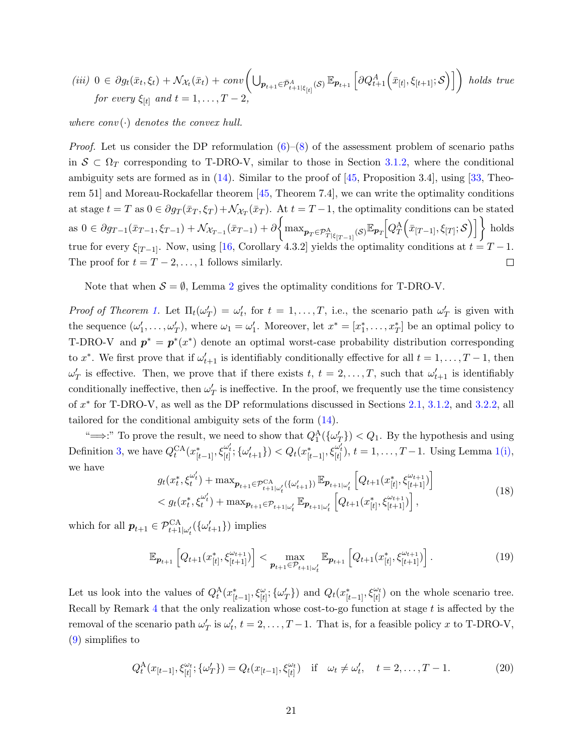$$
(iii) \ 0 \in \partial g_t(\bar{x}_t, \xi_t) + \mathcal{N}_{\mathcal{X}_t}(\bar{x}_t) + conv\left(\bigcup_{\mathbf{p}_{t+1} \in \bar{\mathcal{P}}_{t+1|\xi_{[t]}}^A(\mathcal{S})} \mathbb{E}_{\mathbf{p}_{t+1}}\left[\partial Q_{t+1}^A\left(\bar{x}_{[t]}, \xi_{[t+1]}; \mathcal{S}\right)\right]\right) \ holds \ true
$$
  
for every  $\xi_{[t]}$  and  $t = 1, ..., T - 2$ ,

where  $conv(\cdot)$  denotes the convex hull.

*Proof.* Let us consider the DP reformulation  $(6)-(8)$  $(6)-(8)$  $(6)-(8)$  of the assessment problem of scenario paths in  $S \subset \Omega_T$  corresponding to T-DRO-V, similar to those in Section [3.1.2,](#page-9-4) where the conditional ambiguity sets are formed as in  $(14)$ . Similar to the proof of  $[45,$  Proposition 3.4, using  $[33,$  Theorem 51] and Moreau-Rockafellar theorem [\[45,](#page-30-0) Theorem 7.4], we can write the optimality conditions at stage  $t = T$  as  $0 \in \partial g_T(\bar{x}_T, \xi_T) + \mathcal{N}_{\mathcal{X}_T}(\bar{x}_T)$ . At  $t = T - 1$ , the optimality conditions can be stated as  $0 \in \partial g_{T-1}(\bar{x}_{T-1}, \xi_{T-1}) + \mathcal{N}_{\mathcal{X}_{T-1}}(\bar{x}_{T-1}) + \partial \bigg\{ \max_{\mathbf{p}_T \in \mathcal{P}_{T|\xi_{[T-1]}}^{\Lambda}(\mathcal{S})} \mathbb{E}_{\mathbf{p}_T} \big[ Q_T^{\mathcal{A}} \big( \bar{x}_{[T-1]}, \xi_{[T]}; \mathcal{S} \big) \big] \bigg\}$  holds true for every  $\xi_{[T-1]}$ . Now, using [\[16,](#page-29-15) Corollary 4.3.2] yields the optimality conditions at  $t = T - 1$ . The proof for  $t = T - 2, \ldots, 1$  follows similarly.  $\Box$ 

Note that when  $S = \emptyset$ , Lemma [2](#page-19-1) gives the optimality conditions for T-DRO-V.

Proof of Theorem [1.](#page-18-0) Let  $\Pi_t(\omega'_T) = \omega'_t$ , for  $t = 1, \ldots, T$ , i.e., the scenario path  $\omega'_T$  is given with the sequence  $(\omega'_1, \ldots, \omega'_T)$ , where  $\omega_1 = \omega'_1$ . Moreover, let  $x^* = [x_1^*, \ldots, x_T^*]$  be an optimal policy to T-DRO-V and  $p^* = p^*(x^*)$  denote an optimal worst-case probability distribution corresponding to  $x^*$ . We first prove that if  $\omega'_{t+1}$  is identifiably conditionally effective for all  $t = 1, \ldots, T-1$ , then  $\omega'_T$  is effective. Then, we prove that if there exists  $t, t = 2, \ldots, T$ , such that  $\omega'_{t+1}$  is identifiably conditionally ineffective, then  $\omega'_T$  is ineffective. In the proof, we frequently use the time consistency of  $x^*$  for T-DRO-V, as well as the DP reformulations discussed in Sections [2.1,](#page-4-0) [3.1.2,](#page-9-4) and [3.2.2,](#page-13-2) all tailored for the conditional ambiguity sets of the form [\(14\)](#page-15-3).

" $\implies$ :" To prove the result, we need to show that  $Q_1^{\text{A}}(\{\omega'_T\}) < Q_1$ . By the hypothesis and using Definition [3,](#page-14-1) we have  $Q_t^{CA}(x_{[t-1]}^*, \xi_{[t]}^{\omega'_t}; \{\omega'_{t+1}\}) < Q_t(x_{[t-1]}^*, \xi_{[t]}^{\omega'_t}), t = 1, \ldots, T-1$  $Q_t^{CA}(x_{[t-1]}^*, \xi_{[t]}^{\omega'_t}; \{\omega'_{t+1}\}) < Q_t(x_{[t-1]}^*, \xi_{[t]}^{\omega'_t}), t = 1, \ldots, T-1$  $Q_t^{CA}(x_{[t-1]}^*, \xi_{[t]}^{\omega'_t}; \{\omega'_{t+1}\}) < Q_t(x_{[t-1]}^*, \xi_{[t]}^{\omega'_t}), t = 1, \ldots, T-1$ . Using Lemma 1[\(i\),](#page-18-2) we have

<span id="page-20-0"></span>
$$
g_{t}(x_{t}^{*}, \xi_{t}^{\omega_{t}'} ) + \max_{\mathbf{p}_{t+1} \in \mathcal{P}_{t+1|\omega_{t}'}^{CA}(\{\omega_{t+1}'\})} \mathbb{E}_{\mathbf{p}_{t+1|\omega_{t}'}} \left[ Q_{t+1}(x_{[t]}^{*}, \xi_{[t+1]}^{\omega_{t+1}}) \right] < g_{t}(x_{t}^{*}, \xi_{t}^{\omega_{t}'} ) + \max_{\mathbf{p}_{t+1} \in \mathcal{P}_{t+1|\omega_{t}'}} \mathbb{E}_{\mathbf{p}_{t+1|\omega_{t}'}} \left[ Q_{t+1}(x_{[t]}^{*}, \xi_{[t+1]}^{\omega_{t+1}}) \right],
$$
\n(18)

which for all  $p_{t+1} \in \mathcal{P}_{t+1|\omega_t'}^{\text{CA}}(\{\omega_{t+1}'\})$  implies

<span id="page-20-2"></span>
$$
\mathbb{E}_{\boldsymbol{p}_{t+1}}\left[Q_{t+1}(x_{[t]}^*, \xi_{[t+1]}^{\omega_{t+1}})\right] < \max_{\boldsymbol{p}_{t+1} \in \mathcal{P}_{t+1} \cup_t} \mathbb{E}_{\boldsymbol{p}_{t+1}}\left[Q_{t+1}(x_{[t]}^*, \xi_{[t+1]}^{\omega_{t+1}})\right]. \tag{19}
$$

Let us look into the values of  $Q_t^{\mathcal{A}}(x_{[t-1]}^*, \xi_{[t]}^{\omega}; {\{\omega'_T\}})$  and  $Q_t(x_{[t-1]}^*, \xi_{[t]}^{\omega_t})$  on the whole scenario tree. Recall by Remark [4](#page-10-1) that the only realization whose cost-to-go function at stage  $t$  is affected by the removal of the scenario path  $\omega'_T$  is  $\omega'_t$ ,  $t = 2, \ldots, T-1$ . That is, for a feasible policy x to T-DRO-V, [\(9\)](#page-10-2) simplifies to

<span id="page-20-1"></span>
$$
Q_t^{\mathcal{A}}(x_{[t-1]}, \xi_{[t]}^{\omega_t}; \{\omega'_T\}) = Q_t(x_{[t-1]}, \xi_{[t]}^{\omega_t}) \quad \text{if} \quad \omega_t \neq \omega'_t, \quad t = 2, \dots, T-1. \tag{20}
$$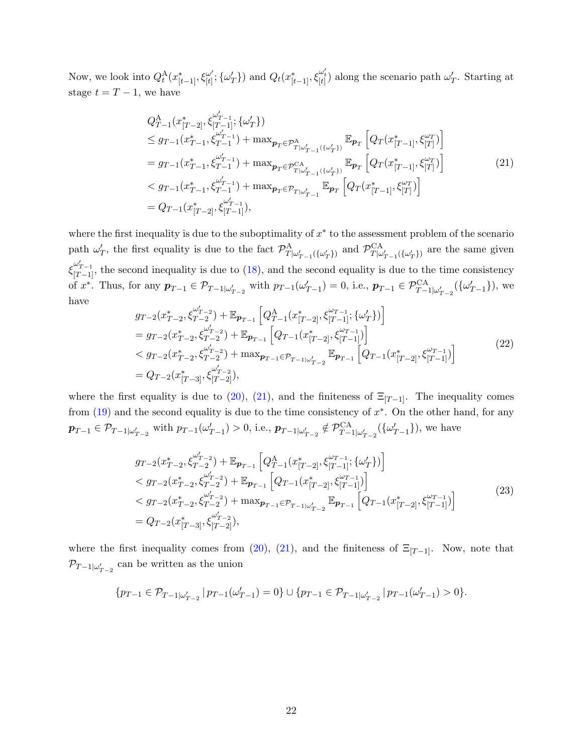Now, we look into  $Q_t^{\text{A}}(x_{[t-1]}^*, \xi_{[t]}^{\omega'})$  $\{\omega'_{[t]}; \{\omega'_{T}\}\}\$ and  $Q_t(x^*_{[t-1]}, \xi^{ \omega'_{t}}_{[t]})$  along the scenario path  $\omega'_{T}$ . Starting at stage  $t = T - 1$ , we have

<span id="page-21-0"></span>
$$
Q_{T-1}^{A}(x_{[T-2]}^{*}, \xi_{[T-1]}^{\omega'_{T-1}}; \{\omega'_{T}\})
$$
  
\n
$$
\leq g_{T-1}(x_{T-1}^{*}, \xi_{T-1}^{\omega'_{T-1}}) + \max_{\mathbf{p}_{T} \in \mathcal{P}_{T|\omega'_{T-1}(\{\omega'_{T}\})}^{A}} \mathbb{E}_{\mathbf{p}_{T}} \left[ Q_{T}(x_{[T-1]}^{*}, \xi_{[T]}^{\omega_{T}}) \right]
$$
  
\n
$$
= g_{T-1}(x_{T-1}^{*}, \xi_{T-1}^{\omega'_{T-1}}) + \max_{\mathbf{p}_{T} \in \mathcal{P}_{T|\omega'_{T-1}(\{\omega'_{T}\})}^{C}} \mathbb{E}_{\mathbf{p}_{T}} \left[ Q_{T}(x_{[T-1]}^{*}, \xi_{[T]}^{\omega_{T}}) \right]
$$
  
\n
$$
< g_{T-1}(x_{T-1}^{*}, \xi_{T-1}^{\omega'_{T-1}}) + \max_{\mathbf{p}_{T} \in \mathcal{P}_{T|\omega'_{T-1}}} \mathbb{E}_{\mathbf{p}_{T}} \left[ Q_{T}(x_{[T-1]}^{*}, \xi_{[T]}^{\omega_{T}}) \right]
$$
  
\n
$$
= Q_{T-1}(x_{[T-2]}^{*}, \xi_{[T-1]}^{\omega'_{T-1}}),
$$
  
\n(21)

where the first inequality is due to the suboptimality of  $x^*$  to the assessment problem of the scenario path  $\omega'_T$ , the first equality is due to the fact  $\mathcal{P}^{\mathcal{A}}_{T|\omega'_{T-1}(\{\omega'_{T}\})}$  and  $\mathcal{P}^{\mathcal{CA}}_{T|\omega'_{T-1}(\{\omega'_{T}\})}$  are the same given  $\xi_{[T-1]}^{\omega'_{T-1}}$ , the second inequality is due to [\(18\)](#page-20-0), and the second equality is due to the time consistency of  $x^*$ . Thus, for any  $p_{T-1} \in \mathcal{P}_{T-1|\omega'_{T-2}}$  with  $p_{T-1}(\omega'_{T-1}) = 0$ , i.e.,  $p_{T-1} \in \mathcal{P}_{T-1|\omega'_{T-2}}^{\mathcal{C}A}(\{\omega'_{T-1}\})$ , we have  $\prime$ 

<span id="page-21-1"></span>
$$
g_{T-2}(x_{T-2}^*, \xi_{T-2}^{\omega'_{T-2}}) + \mathbb{E}_{\mathbf{p}_{T-1}} \left[ Q_{T-1}^{\mathcal{A}}(x_{[T-2]}^*, \xi_{[T-1]}^{\omega_{T-1}}; \{\omega'_T\}) \right]
$$
  
\n
$$
= g_{T-2}(x_{T-2}^*, \xi_{T-2}^{\omega'_{T-2}}) + \mathbb{E}_{\mathbf{p}_{T-1}} \left[ Q_{T-1}(x_{[T-2]}^*, \xi_{[T-1]}^{\omega_{T-1}}) \right]
$$
  
\n
$$
< g_{T-2}(x_{T-2}^*, \xi_{T-2}^{\omega'_{T-2}}) + \max_{\mathbf{p}_{T-1} \in \mathcal{P}_{T-1} \mid \omega'_{T-2}} \mathbb{E}_{\mathbf{p}_{T-1}} \left[ Q_{T-1}(x_{[T-2]}^*, \xi_{[T-1]}^{\omega_{T-1}}) \right]
$$
  
\n
$$
= Q_{T-2}(x_{[T-3]}^*, \xi_{[T-2]}^{\omega'_{T-2}}),
$$
\n(22)

where the first equality is due to [\(20\)](#page-20-1), [\(21\)](#page-21-0), and the finiteness of  $\Xi_{[T-1]}$ . The inequality comes from  $(19)$  and the second equality is due to the time consistency of  $x^*$ . On the other hand, for any  $p_{T-1} \in \mathcal{P}_{T-1|\omega'_{T-2}}$  with  $p_{T-1}(\omega'_{T-1}) > 0$ , i.e.,  $p_{T-1|\omega'_{T-2}} \notin \mathcal{P}_{T-1|\omega'_{T-2}}^{\text{CA}}(\{\omega'_{T-1}\})$ , we have

<span id="page-21-2"></span>
$$
g_{T-2}(x_{T-2}^{*}, \xi_{T-2}^{\omega'_{T-2}}) + \mathbb{E}_{\mathbf{p}_{T-1}} \Big[ Q_{T-1}^{\mathcal{A}}(x_{[T-2]}^{*}, \xi_{[T-1]}^{\omega_{T-1}}; \{\omega'_{T}\}) \Big] \n< g_{T-2}(x_{T-2}^{*}, \xi_{T-2}^{\omega'_{T-2}}) + \mathbb{E}_{\mathbf{p}_{T-1}} \Big[ Q_{T-1}(x_{[T-2]}^{*}, \xi_{[T-1]}^{\omega_{T-1}}) \Big] \n< g_{T-2}(x_{T-2}^{*}, \xi_{T-2}^{\omega'_{T-2}}) + \max_{\mathbf{p}_{T-1} \in \mathcal{P}_{T-1} \cup_{T-2}^{\omega_{T-2}}} \mathbb{E}_{\mathbf{p}_{T-1}} \Big[ Q_{T-1}(x_{[T-2]}^{*}, \xi_{[T-1]}^{\omega_{T-1}}) \Big]
$$
\n
$$
= Q_{T-2}(x_{[T-3]}^{*}, \xi_{[T-2]}^{\omega'_{T-2}}),
$$
\n(23)

where the first inequality comes from [\(20\)](#page-20-1), [\(21\)](#page-21-0), and the finiteness of  $\Xi_{[T-1]}$ . Now, note that  $\mathcal{P}_{T-1|\omega'_{T-2}}$  can be written as the union

$$
\{p_{T-1} \in \mathcal{P}_{T-1|\omega'_{T-2}} \, | \, p_{T-1}(\omega'_{T-1}) = 0\} \cup \{p_{T-1} \in \mathcal{P}_{T-1|\omega'_{T-2}} \, | \, p_{T-1}(\omega'_{T-1}) > 0\}.
$$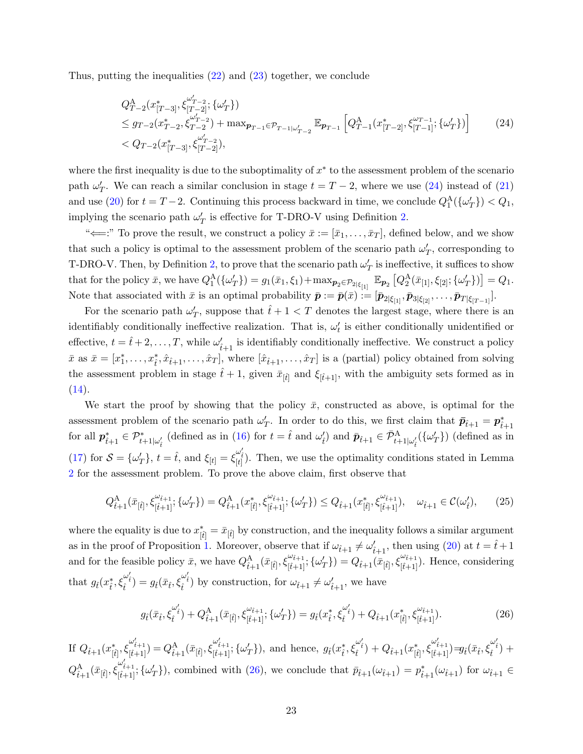Thus, putting the inequalities [\(22\)](#page-21-1) and [\(23\)](#page-21-2) together, we conclude

<span id="page-22-0"></span>
$$
Q_{T-2}^{A}(x_{[T-3]}^{*}, \xi_{[T-2]}^{\omega'_{T-2}}; \{\omega'_{T}\})
$$
  
\n
$$
\leq g_{T-2}(x_{T-2}^{*}, \xi_{T-2}^{\omega'_{T-2}}) + \max_{\mathbf{p}_{T-1} \in \mathcal{P}_{T-1}|\omega'_{T-2}} \mathbb{E}_{\mathbf{p}_{T-1}} \left[ Q_{T-1}^{A}(x_{[T-2]}^{*}, \xi_{[T-1]}^{\omega_{T-1}}; \{\omega'_{T}\}) \right]
$$
(24)  
\n
$$
< Q_{T-2}(x_{[T-3]}^{*}, \xi_{[T-2]}^{\omega'_{T-2}}),
$$

where the first inequality is due to the suboptimality of  $x^*$  to the assessment problem of the scenario path  $\omega'_T$ . We can reach a similar conclusion in stage  $t = T - 2$ , where we use [\(24\)](#page-22-0) instead of [\(21\)](#page-21-0) and use [\(20\)](#page-20-1) for  $t = T - 2$ . Continuing this process backward in time, we conclude  $Q_1^{\text{A}}(\{\omega'_T\}) < Q_1$ , implying the scenario path  $\omega'_T$  is effective for T-DRO-V using Definition [2.](#page-11-0)

" $\Longleftarrow$ :" To prove the result, we construct a policy  $\bar{x} := [\bar{x}_1, \ldots, \bar{x}_T]$ , defined below, and we show that such a policy is optimal to the assessment problem of the scenario path  $\omega'_T$ , corresponding to T-DRO-V. Then, by Definition [2,](#page-11-0) to prove that the scenario path  $\omega'_T$  is ineffective, it suffices to show that for the policy  $\bar{x}$ , we have  $Q_1^{\text{A}}(\{\omega'_T\}) = g_1(\bar{x}_1, \xi_1) + \max_{\mathbf{p}_2 \in \mathcal{P}_{2|\xi_{[1]}}} \mathbb{E}_{\mathbf{p}_2} [Q_2^{\text{A}}(\bar{x}_{[1]}, \xi_{[2]}; {\{\omega'_T\}})] = Q_1$ . Note that associated with  $\bar{x}$  is an optimal probability  $\bar{p} := \bar{p}(\bar{x}) := [\bar{p}_{2|\xi_{11}}, \bar{p}_{3|\xi_{12}}, \ldots, \bar{p}_{T|\xi_{T-11}}].$ 

For the scenario path  $\omega'_T$ , suppose that  $\hat{t}+1 < T$  denotes the largest stage, where there is an identifiably conditionally ineffective realization. That is,  $\omega'_t$  is either conditionally unidentified or effective,  $t = \hat{t} + 2, \ldots, T$ , while  $\omega'_{\hat{t}+1}$  is identifiably conditionally ineffective. We construct a policy  $\bar{x}$  as  $\bar{x} = [x_1^*, \ldots, x_t^*, \hat{x}_{t+1}, \ldots, \hat{x}_T]$ , where  $[\hat{x}_{t+1}, \ldots, \hat{x}_T]$  is a (partial) policy obtained from solving the assessment problem in stage  $\hat{t} + 1$ , given  $\bar{x}_{[\hat{t}]}$  and  $\xi_{[\hat{t}+1]}$ , with the ambiguity sets formed as in  $(14).$  $(14).$ 

We start the proof by showing that the policy  $\bar{x}$ , constructed as above, is optimal for the assessment problem of the scenario path  $\omega'_T$ . In order to do this, we first claim that  $\bar{p}_{\hat{t}+1} = p^*_{\hat{t}+1}$ for all  $p_{t+1}^* \in \mathcal{P}_{t+1|\omega_t'}^*$  (defined as in [\(16\)](#page-17-2) for  $t = \hat{t}$  and  $\omega_t'$ ) and  $\bar{p}_{\hat{t}+1} \in \bar{\mathcal{P}}_{t+1|\omega_t'}^{\mathcal{A}}(\{\omega_T'\})$  (defined as in [\(17\)](#page-19-2) for  $S = {\omega'_T}$ ,  $t = \hat{t}$ , and  $\xi_{[t]} = \xi_{[t]}^{\omega'_t}$ . Then, we use the optimality conditions stated in Lemma [2](#page-19-1) for the assessment problem. To prove the above claim, first observe that

$$
Q_{\hat{t}+1}^{\mathcal{A}}(\bar{x}_{[\hat{t}]},\xi_{[\hat{t}+1]}^{\omega_{\hat{t}+1}};\{\omega'_{T}\}) = Q_{\hat{t}+1}^{\mathcal{A}}(x_{[\hat{t}]}^{*},\xi_{[\hat{t}+1]}^{\omega_{\hat{t}+1}};\{\omega'_{T}\}) \leq Q_{\hat{t}+1}(x_{[\hat{t}]}^{*},\xi_{[\hat{t}+1]}^{\omega_{\hat{t}+1}}), \quad \omega_{\hat{t}+1} \in \mathcal{C}(\omega_{\hat{t}}'),\tag{25}
$$

where the equality is due to  $x_{\hat{[t]}}^* = \bar{x}_{\hat{[t]}}$  by construction, and the inequality follows a similar argument as in the proof of Proposition [1.](#page-10-0) Moreover, observe that if  $\omega_{\hat{t}+1} \neq \omega'_{\hat{t}+1}$ , then using [\(20\)](#page-20-1) at  $t = \hat{t}+1$ and for the feasible policy  $\bar{x}$ , we have  $Q_{\hat{t}+1}^{A}(\bar{x}_{[\hat{t}]}, \xi_{[\hat{t}+1]}^{\omega_{\hat{t}+1}}; {\omega'_T} ) = Q_{\hat{t}+1}(\bar{x}_{[\hat{t}]}, \xi_{[\hat{t}+1]}^{\omega_{\hat{t}+1}})$ . Hence, considering that  $g_t(x_t^*, \xi_t^{\omega_t'} ) = g_t(\bar{x}_t, \xi_t^{\omega_t'} )$  by construction, for  $\omega_{\hat{t}+1} \neq \omega_{\hat{t}+1}'$ , we have

<span id="page-22-1"></span>
$$
g_{\hat{t}}(\bar{x}_{\hat{t}}, \xi_{\hat{t}}^{\omega'_{\hat{t}}}) + Q_{\hat{t}+1}^{\mathcal{A}}(\bar{x}_{[\hat{t}]}, \xi_{[\hat{t}+1]}^{\omega_{\hat{t}+1}}; \{\omega'_{T}\}) = g_{\hat{t}}(x_{\hat{t}}^*, \xi_{\hat{t}}^{\omega'_{\hat{t}}}) + Q_{\hat{t}+1}(x_{[\hat{t}]}^*, \xi_{[\hat{t}+1]}^{\omega_{\hat{t}+1}}). \tag{26}
$$

If  $Q_{\hat{t}+1}(x_{[\hat{t}]}^*, \xi_{[\hat{t}+1]}^{\omega'_{\hat{t}+1}}) = Q_{\hat{t}+1}^{\mathcal{A}}(\bar{x}_{[\hat{t}]}, \xi_{[\hat{t}+1]}^{\omega'_{\hat{t}+1}}, \{\omega'_T\}),$  and hence,  $g_{\hat{t}}(x_{\hat{t}}^*, \xi_{\hat{t}}^{\omega'_{\hat{t}}}) + Q_{\hat{t}+1}(x_{[\hat{t}]}^*, \xi_{[\hat{t}+1]}^{\omega'_{\hat{t}+1}}) = g_{\hat{t}}(\bar{x}_{\hat{t}},$  $Q_{\hat{t}+1}^{\mathcal{A}}(\bar{x}_{[\hat{t}]},\xi_{[\hat{t}+1]}^{\omega'_{\hat{t}+1}};\{\omega'_{T}\})$ , combined with [\(26\)](#page-22-1), we conclude that  $\bar{p}_{\hat{t}+1}(\omega_{\hat{t}+1}) = p_{\hat{t}+1}^*(\omega_{\hat{t}+1})$  for  $\omega_{\hat{t}+1} \in$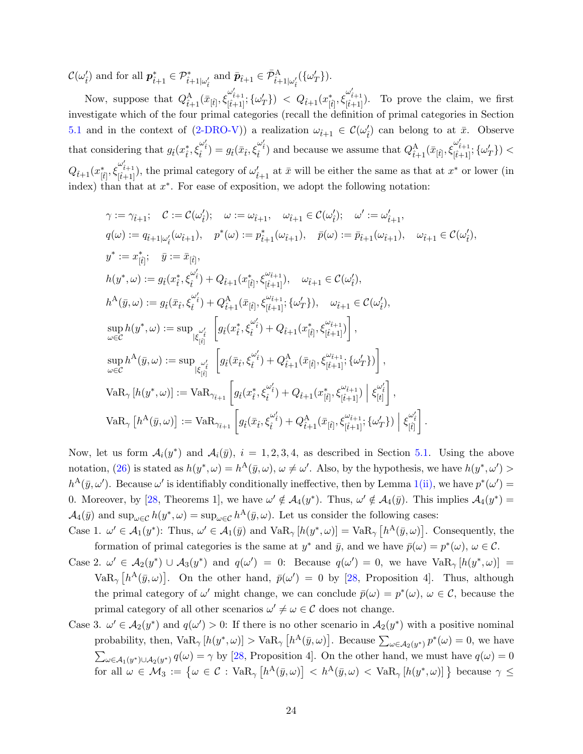$\mathcal{C}(\omega'_i)$  and for all  $p_{\hat{t}+1}^* \in \mathcal{P}_{\hat{t}+1|\omega'_i}^*$  and  $\bar{p}_{\hat{t}+1} \in \bar{\mathcal{P}}_{\hat{t}+1|\omega'_i}^{\Lambda}(\{\omega'_T\}).$ 

Now, suppose that  $Q_{\hat{t}+1}^{A}(\bar{x}_{[\hat{t}]}, \xi_{[\hat{t}+1]}^{\omega'_{\hat{t}+1}}; \{\omega'_{T}\}) < Q_{\hat{t}+1}(x_{[\hat{t}]}^{*}, \xi_{[\hat{t}+1]}^{\omega'_{\hat{t}+1}})$ . To prove the claim, we first investigate which of the four primal categories (recall the definition of primal categories in Section [5.1](#page-17-3) and in the context of [\(2-DRO-V\)](#page-17-0)) a realization  $\omega_{\hat{t}+1} \in C(\omega_{\hat{t}}')$  can belong to at  $\bar{x}$ . Observe that considering that  $g_i(x_i^*, \xi_i^{\omega'_t}) = g_i(\bar{x}_i, \xi_i^{\omega'_t})$  and because we assume that  $Q_{\hat{t}+1}^{\mathcal{A}}(\bar{x}_{[\hat{t}]}, \xi_{[\hat{t}+1]}^{\omega'_{\hat{t}+1}}; {\{\omega'_T}\}) <$  $Q_{\hat{t}+1}(x_{[\hat{t}]}^*, \xi_{[\hat{t}+1]}^{\omega'_{\hat{t}+1}})$ , the primal category of  $\omega'_{\hat{t}+1}$  at  $\bar{x}$  will be either the same as that at  $x^*$  or lower (in index) than that at  $x^*$ . For ease of exposition, we adopt the following notation:

$$
\gamma := \gamma_{\hat{t}+1}; \quad \mathcal{C} := \mathcal{C}(\omega'_{\hat{t}}); \quad \omega := \omega_{\hat{t}+1}, \quad \omega_{\hat{t}+1} \in \mathcal{C}(\omega'_{\hat{t}}); \quad \omega' := \omega'_{\hat{t}+1},
$$
\n
$$
q(\omega) := q_{\hat{t}+1|\omega'_{\hat{t}}}(\omega_{\hat{t}+1}), \quad p^*(\omega) := p^*_{\hat{t}+1}(\omega_{\hat{t}+1}), \quad \bar{p}(\omega) := \bar{p}_{\hat{t}+1}(\omega_{\hat{t}+1}), \quad \omega_{\hat{t}+1} \in \mathcal{C}(\omega'_{\hat{t}}),
$$
\n
$$
y^* := x^*_{[\hat{t}]}; \quad \bar{y} := \bar{x}_{[\hat{t}]},
$$
\n
$$
h(y^*, \omega) := g_{\hat{t}}(x^*_{\hat{t}}, \xi^{\omega'_{\hat{t}}}_{\hat{t}}) + Q^A_{\hat{t}+1}(x^*_{[\hat{t}]}; \xi^{\omega_{\hat{t}+1}}_{[\hat{t}+1]}; \{\omega'_T\}), \quad \omega_{\hat{t}+1} \in \mathcal{C}(\omega'_{\hat{t}}),
$$
\n
$$
h^A(\bar{y}, \omega) := g_{\hat{t}}(\bar{x}_{\hat{t}}, \xi^{\omega'_{\hat{t}}}_{\hat{t}}) + Q^A_{\hat{t}+1}(\bar{x}_{[\hat{t}]}; \xi^{\omega_{\hat{t}+1}}_{[\hat{t}+1]}; \{\omega'_T\}), \quad \omega_{\hat{t}+1} \in \mathcal{C}(\omega'_{\hat{t}}),
$$
\n
$$
\sup_{\omega \in \mathcal{C}} h(y^*, \omega) := \sup_{|\xi|_{\hat{t}|\hat{t}|}} \left[ g_{\hat{t}}(x^*_{\hat{t}}, \xi^{\omega'_{\hat{t}}}_{\hat{t}}) + Q^A_{\hat{t}+1}(x^*_{[\hat{t}]}; \xi^{\omega_{\hat{t}+1}}_{[\hat{t}+1]}; \{\omega'_T\}) \right],
$$
\n
$$
\sup_{\omega \in \mathcal{C}} h^A(\bar{y}, \omega) := \sup_{|\xi|_{\hat
$$

Now, let us form  $\mathcal{A}_i(y^*)$  and  $\mathcal{A}_i(\bar{y})$ ,  $i = 1, 2, 3, 4$ , as described in Section [5.1.](#page-17-3) Using the above notation, [\(26\)](#page-22-1) is stated as  $h(y^*, \omega) = h^{\mathcal{A}}(\bar{y}, \omega), \omega \neq \omega'$ . Also, by the hypothesis, we have  $h(y^*, \omega') >$  $h^{\mathcal{A}}(\bar{y},\omega')$ . Because  $\omega'$  is identifiably conditionally ineffective, then by Lemma [1](#page-18-1)[\(ii\),](#page-18-3) we have  $p^*(\omega') =$ 0. Moreover, by [\[28,](#page-29-10) Theorems 1], we have  $\omega' \notin \mathcal{A}_4(y^*)$ . Thus,  $\omega' \notin \mathcal{A}_4(\bar{y})$ . This implies  $\mathcal{A}_4(y^*)$  =  $\mathcal{A}_4(\bar{y})$  and  $\sup_{\omega \in \mathcal{C}} h(y^*, \omega) = \sup_{\omega \in \mathcal{C}} h^{\mathcal{A}}(\bar{y}, \omega)$ . Let us consider the following cases:

Case 1.  $\omega' \in \mathcal{A}_1(y^*)$ : Thus,  $\omega' \in \mathcal{A}_1(\bar{y})$  and  $\text{VaR}_{\gamma}[h(y^*, \omega)] = \text{VaR}_{\gamma}[h^{\text{A}}(\bar{y}, \omega)]$ . Consequently, the formation of primal categories is the same at  $y^*$  and  $\bar{y}$ , and we have  $\bar{p}(\omega) = p^*(\omega)$ ,  $\omega \in \mathcal{C}$ .

- Case 2.  $\omega' \in \mathcal{A}_2(y^*) \cup \mathcal{A}_3(y^*)$  and  $q(\omega') = 0$ : Because  $q(\omega') = 0$ , we have  $\text{VaR}_{\gamma}[h(y^*, \omega)] =$ Va $R_{\gamma}$   $[h^{\rm A}(\bar{y},\omega)]$ . On the other hand,  $\bar{p}(\omega')=0$  by [\[28,](#page-29-10) Proposition 4]. Thus, although the primal category of  $\omega'$  might change, we can conclude  $\bar{p}(\omega) = p^*(\omega)$ ,  $\omega \in \mathcal{C}$ , because the primal category of all other scenarios  $\omega' \neq \omega \in \mathcal{C}$  does not change.
- Case 3.  $\omega' \in \mathcal{A}_2(y^*)$  and  $q(\omega') > 0$ : If there is no other scenario in  $\mathcal{A}_2(y^*)$  with a positive nominal probability, then,  $\text{VaR}_{\gamma}[h(y^*,\omega)] > \text{VaR}_{\gamma}[h^{\text{A}}(\bar{y},\omega)]$ . Because  $\sum_{\omega \in \mathcal{A}_2(y^*)} p^*(\omega) = 0$ , we have  $\sum_{\omega \in A_1(y^*) \cup A_2(y^*)} q(\omega) = \gamma$  by [\[28,](#page-29-10) Proposition 4]. On the other hand, we must have  $q(\omega) = 0$ for all  $\omega \in \mathcal{M}_3 := \left\{ \omega \in \mathcal{C} : \text{VaR}_{\gamma} \left[ h^{\text{A}}(\bar{y}, \omega) \right] < h^{\text{A}}(\bar{y}, \omega) < \text{VaR}_{\gamma} \left[ h(y^*, \omega) \right] \right\}$  because  $\gamma \leq$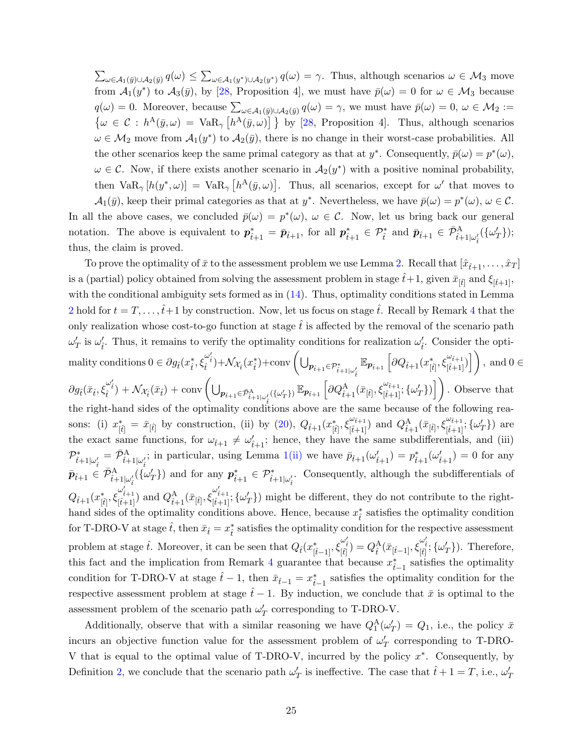$\sum_{\omega \in A_1(\bar{y}) \cup A_2(\bar{y})} q(\omega) \leq \sum_{\omega \in A_1(y^*) \cup A_2(y^*)} q(\omega) = \gamma$ . Thus, although scenarios  $\omega \in M_3$  move from  $\mathcal{A}_1(y^*)$  to  $\mathcal{A}_3(\bar{y})$ , by [\[28,](#page-29-10) Proposition 4], we must have  $\bar{p}(\omega) = 0$  for  $\omega \in \mathcal{M}_3$  because  $q(\omega) = 0$ . Moreover, because  $\sum_{\omega \in A_1(\bar{y}) \cup A_2(\bar{y})} q(\omega) = \gamma$ , we must have  $\bar{p}(\omega) = 0$ ,  $\omega \in M_2 :=$  $\{\omega \in C : h^A(\bar{y}, \omega) = \text{VaR}_{\gamma} [h^A(\bar{y}, \omega)] \}$  by [\[28,](#page-29-10) Proposition 4]. Thus, although scenarios  $\omega \in \mathcal{M}_2$  move from  $\mathcal{A}_1(y^*)$  to  $\mathcal{A}_2(\bar{y})$ , there is no change in their worst-case probabilities. All the other scenarios keep the same primal category as that at  $y^*$ . Consequently,  $\bar{p}(\omega) = p^*(\omega)$ ,  $\omega \in \mathcal{C}$ . Now, if there exists another scenario in  $\mathcal{A}_2(y^*)$  with a positive nominal probability, then  $\text{VaR}_{\gamma}[h(y^*,\omega)] = \text{VaR}_{\gamma}[h^{\text{A}}(\bar{y},\omega)].$  Thus, all scenarios, except for  $\omega'$  that moves to  $\mathcal{A}_1(\bar{y})$ , keep their primal categories as that at  $y^*$ . Nevertheless, we have  $\bar{p}(\omega) = p^*(\omega)$ ,  $\omega \in \mathcal{C}$ .

In all the above cases, we concluded  $\bar{p}(\omega) = p^*(\omega)$ ,  $\omega \in \mathcal{C}$ . Now, let us bring back our general notation. The above is equivalent to  $p_{\hat{t}+1}^* = \bar{p}_{\hat{t}+1}$ , for all  $p_{\hat{t}+1}^* \in \mathcal{P}_{\hat{t}}^*$  and  $\bar{p}_{\hat{t}+1} \in \bar{\mathcal{P}}_{\hat{t}+1|\omega_i'}^{\mathrm{A}}(\{\omega_T'\});$ thus, the claim is proved.

To prove the optimality of  $\bar{x}$  to the assessment problem we use Lemma [2.](#page-19-1) Recall that  $[\hat{x}_{t+1}, \ldots, \hat{x}_T]$ is a (partial) policy obtained from solving the assessment problem in stage  $\hat{t}+1$ , given  $\bar{x}_{[\hat{t}]}$  and  $\xi_{[\hat{t}+1]}$ , with the conditional ambiguity sets formed as in  $(14)$ . Thus, optimality conditions stated in Lemma [2](#page-19-1) hold for  $t = T, \ldots, \hat{t}+1$  by construction. Now, let us focus on stage  $\hat{t}$ . Recall by Remark [4](#page-10-1) that the only realization whose cost-to-go function at stage  $\dot{t}$  is affected by the removal of the scenario path  $\omega'_T$  is  $\omega'_t$ . Thus, it remains to verify the optimality conditions for realization  $\omega'_t$ . Consider the opti- $\text{matrix conditions } 0 \in \partial g_{\hat{t}}(x_{\hat{t}}^*, \xi_{\hat{t}}^{\omega'_{\hat{t}}}) + \mathcal{N}_{\mathcal{X}_{\hat{t}}}(x_{\hat{t}}^*) + \text{conv}\left(\bigcup_{\mathbf{p}_{\hat{t}+1} \in \mathcal{P}^*_{\hat{t}+1|\omega'_{\hat{t}}}} \mathbb{E}_{\mathbf{p}_{\hat{t}+1}}\left[\partial Q_{\hat{t}+1}(x_{[\hat{t}]}^*, \xi_{[\hat{t}+1]}^{\omega_{\hat{t}+1}})\right]\right), \text{ and } 0 \in \mathcal{P}^*_{\$  $\partial g_{\hat{t}}(\bar{x}_t, \xi_i^{\omega'_t}) + \mathcal{N}_{\mathcal{X}_t}(\bar{x}_t) + \text{conv}\left(\bigcup_{\mathbf{p}_{\hat{t}+1} \in \bar{\mathcal{P}}_{\hat{t}+1|\omega'_\hat{t}}^{\text{A}}(\{\omega'_T\})} \mathbb{E}_{\mathbf{p}_{\hat{t}+1}}\left[\partial Q_{\hat{t}+1}^{\text{A}}(\bar{x}_{[\hat{t}]}, \xi_{[\hat{t}+1]}^{\omega_{\hat{t}+1}}; \{\omega'_T\})\right]\right).$  Observe that the right-hand sides of the optimality conditions above are the same because of the following reasons: (i)  $x_{[\hat{t}]}^* = \bar{x}_{[\hat{t}]}$  by construction, (ii) by [\(20\)](#page-20-1),  $Q_{\hat{t}+1}(x_{[\hat{t}]}^*, \xi_{[\hat{t}+1]}^{\omega_{\hat{t}+1}})$  and  $Q_{\hat{t}+1}^{\mathcal{A}}(\bar{x}_{[\hat{t}]}, \xi_{[\hat{t}+1]}^{\omega_{\hat{t}+1}}; {\{\omega'_T\}})$  are the exact same functions, for  $\omega_{\hat{t}+1} \neq \omega'_{\hat{t}+1}$ ; hence, they have the same subdifferentials, and (iii)  $\mathcal{P}_{\hat{t}+1|\omega'_{\hat{t}}}= \bar{\mathcal{P}}_{\hat{t}+1|\omega'_{\hat{t}}};$  $\mathcal{P}_{\hat{t}+1|\omega'_{\hat{t}}}= \bar{\mathcal{P}}_{\hat{t}+1|\omega'_{\hat{t}}};$  $\mathcal{P}_{\hat{t}+1|\omega'_{\hat{t}}}= \bar{\mathcal{P}}_{\hat{t}+1|\omega'_{\hat{t}}};$  in particular, using Lemma 1[\(ii\)](#page-18-3) we have  $\bar{p}_{\hat{t}+1}(\omega'_{\hat{t}+1})=p_{\hat{t}+1}^*(\omega'_{\hat{t}+1})=0$  for any  $\bar{p}_{\hat{t}+1} \in \bar{\mathcal{P}}_{\hat{t}+1|\omega_i'}^{\text{A}}(\{\omega'_T\})$  and for any  $p_{\hat{t}+1}^* \in \mathcal{P}_{\hat{t}+1|\omega_i'}^*$ . Consequently, although the subdifferentials of  $Q_{\hat{t}+1}(x_{[\hat{t}]}^*, \xi_{[\hat{t}+1]}^{\omega'_{\hat{t}+1}})$  and  $Q_{\hat{t}+1}^{\mathcal{A}}(\bar{x}_{[\hat{t}]}, \xi_{[\hat{t}+1]}^{\omega'_{\hat{t}+1}}, \{\omega'_T\})$  might be different, they do not contribute to the righthand sides of the optimality conditions above. Hence, because  $x_i^*$  satisfies the optimality condition for T-DRO-V at stage  $\hat{t}$ , then  $\bar{x}_f = x_f^*$  satisfies the optimality condition for the respective assessment problem at stage  $\hat{t}$ . Moreover, it can be seen that  $Q_{\hat{t}}(x_{[\hat{t}-1]}^*, \xi_{[\hat{t}]}^{\omega_i'}) = Q_{\hat{t}}^{\mathbf{A}}(\bar{x}_{[\hat{t}-1]}, \xi_{[\hat{t}]}^{\omega_i'}; {\{\omega'_T}\})$ . Therefore, this fact and the implication from Remark [4](#page-10-1) guarantee that because  $x_{\hat{t}-1}^*$  satisfies the optimality condition for T-DRO-V at stage  $\hat{t} - 1$ , then  $\bar{x}_{\hat{t}-1} = x_{\hat{t}-1}^*$  satisfies the optimality condition for the respective assessment problem at stage  $t-1$ . By induction, we conclude that  $\bar{x}$  is optimal to the assessment problem of the scenario path  $\omega'_T$  corresponding to T-DRO-V.

Additionally, observe that with a similar reasoning we have  $Q_1^{\text{A}}(\omega'_T) = Q_1$ , i.e., the policy  $\bar{x}$ incurs an objective function value for the assessment problem of  $\omega'_T$  corresponding to T-DRO-V that is equal to the optimal value of T-DRO-V, incurred by the policy  $x^*$ . Consequently, by Definition [2,](#page-11-0) we conclude that the scenario path  $\omega'_T$  is ineffective. The case that  $\hat{t} + 1 = T$ , i.e.,  $\omega'_T$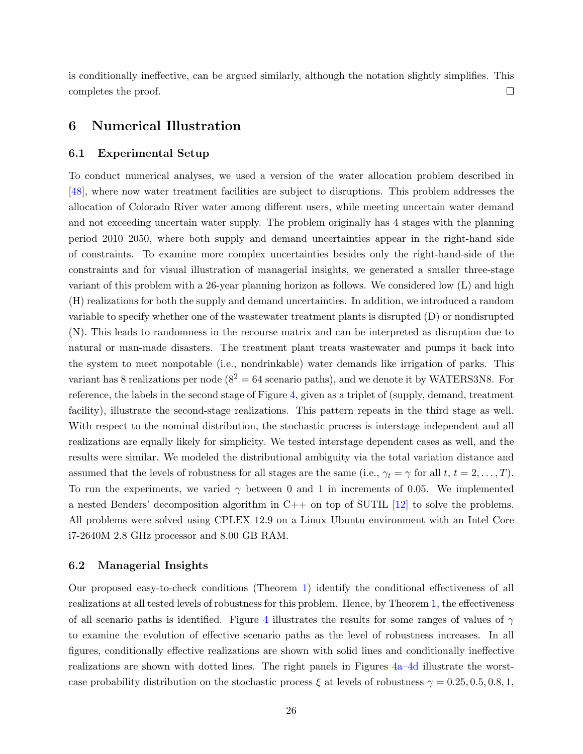is conditionally ineffective, can be argued similarly, although the notation slightly simplifies. This completes the proof.  $\Box$ 

## <span id="page-25-0"></span>6 Numerical Illustration

#### 6.1 Experimental Setup

To conduct numerical analyses, we used a version of the water allocation problem described in [\[48\]](#page-31-1), where now water treatment facilities are subject to disruptions. This problem addresses the allocation of Colorado River water among different users, while meeting uncertain water demand and not exceeding uncertain water supply. The problem originally has 4 stages with the planning period 2010–2050, where both supply and demand uncertainties appear in the right-hand side of constraints. To examine more complex uncertainties besides only the right-hand-side of the constraints and for visual illustration of managerial insights, we generated a smaller three-stage variant of this problem with a 26-year planning horizon as follows. We considered low (L) and high (H) realizations for both the supply and demand uncertainties. In addition, we introduced a random variable to specify whether one of the wastewater treatment plants is disrupted (D) or nondisrupted (N). This leads to randomness in the recourse matrix and can be interpreted as disruption due to natural or man-made disasters. The treatment plant treats wastewater and pumps it back into the system to meet nonpotable (i.e., nondrinkable) water demands like irrigation of parks. This variant has 8 realizations per node  $(8^2 = 64$  scenario paths), and we denote it by WATERS3N8. For reference, the labels in the second stage of Figure [4,](#page-27-0) given as a triplet of (supply, demand, treatment facility), illustrate the second-stage realizations. This pattern repeats in the third stage as well. With respect to the nominal distribution, the stochastic process is interstage independent and all realizations are equally likely for simplicity. We tested interstage dependent cases as well, and the results were similar. We modeled the distributional ambiguity via the total variation distance and assumed that the levels of robustness for all stages are the same (i.e.,  $\gamma_t = \gamma$  for all  $t, t = 2, \ldots, T$ ). To run the experiments, we varied  $\gamma$  between 0 and 1 in increments of 0.05. We implemented a nested Benders' decomposition algorithm in  $C++$  on top of SUTIL [\[12\]](#page-28-12) to solve the problems. All problems were solved using CPLEX 12.9 on a Linux Ubuntu environment with an Intel Core i7-2640M 2.8 GHz processor and 8.00 GB RAM.

#### 6.2 Managerial Insights

Our proposed easy-to-check conditions (Theorem [1\)](#page-17-1) identify the conditional effectiveness of all realizations at all tested levels of robustness for this problem. Hence, by Theorem [1,](#page-18-0) the effectiveness of all scenario paths is identified. Figure [4](#page-27-0) illustrates the results for some ranges of values of  $\gamma$ to examine the evolution of effective scenario paths as the level of robustness increases. In all figures, conditionally effective realizations are shown with solid lines and conditionally ineffective realizations are shown with dotted lines. The right panels in Figures [4a–](#page-27-1)[4d](#page-27-2) illustrate the worstcase probability distribution on the stochastic process  $\xi$  at levels of robustness  $\gamma = 0.25, 0.5, 0.8, 1$ ,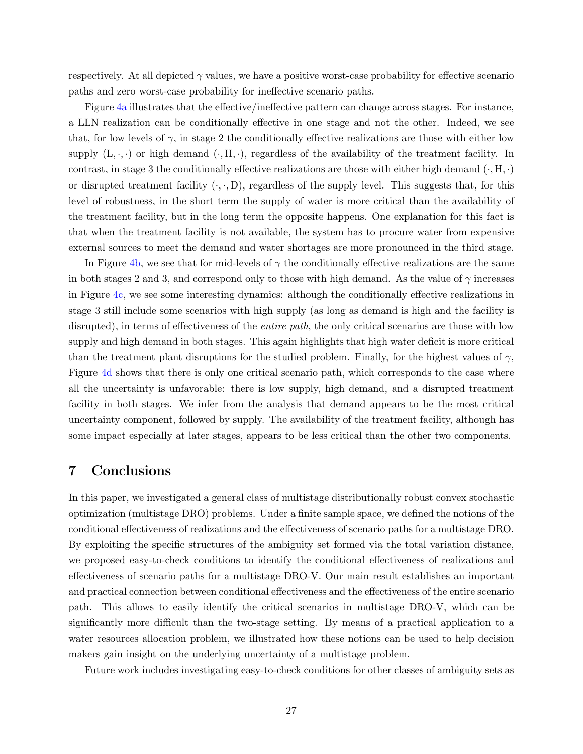respectively. At all depicted  $\gamma$  values, we have a positive worst-case probability for effective scenario paths and zero worst-case probability for ineffective scenario paths.

Figure [4a](#page-27-1) illustrates that the effective/ineffective pattern can change across stages. For instance, a LLN realization can be conditionally effective in one stage and not the other. Indeed, we see that, for low levels of  $\gamma$ , in stage 2 the conditionally effective realizations are those with either low supply  $(L, \cdot, \cdot)$  or high demand  $(\cdot, H, \cdot)$ , regardless of the availability of the treatment facility. In contrast, in stage 3 the conditionally effective realizations are those with either high demand  $(\cdot, H, \cdot)$ or disrupted treatment facility  $(\cdot, \cdot, D)$ , regardless of the supply level. This suggests that, for this level of robustness, in the short term the supply of water is more critical than the availability of the treatment facility, but in the long term the opposite happens. One explanation for this fact is that when the treatment facility is not available, the system has to procure water from expensive external sources to meet the demand and water shortages are more pronounced in the third stage.

In Figure [4b,](#page-27-3) we see that for mid-levels of  $\gamma$  the conditionally effective realizations are the same in both stages 2 and 3, and correspond only to those with high demand. As the value of  $\gamma$  increases in Figure [4c,](#page-27-4) we see some interesting dynamics: although the conditionally effective realizations in stage 3 still include some scenarios with high supply (as long as demand is high and the facility is disrupted), in terms of effectiveness of the *entire path*, the only critical scenarios are those with low supply and high demand in both stages. This again highlights that high water deficit is more critical than the treatment plant disruptions for the studied problem. Finally, for the highest values of  $\gamma$ , Figure [4d](#page-27-2) shows that there is only one critical scenario path, which corresponds to the case where all the uncertainty is unfavorable: there is low supply, high demand, and a disrupted treatment facility in both stages. We infer from the analysis that demand appears to be the most critical uncertainty component, followed by supply. The availability of the treatment facility, although has some impact especially at later stages, appears to be less critical than the other two components.

## <span id="page-26-0"></span>7 Conclusions

In this paper, we investigated a general class of multistage distributionally robust convex stochastic optimization (multistage DRO) problems. Under a finite sample space, we defined the notions of the conditional effectiveness of realizations and the effectiveness of scenario paths for a multistage DRO. By exploiting the specific structures of the ambiguity set formed via the total variation distance, we proposed easy-to-check conditions to identify the conditional effectiveness of realizations and effectiveness of scenario paths for a multistage DRO-V. Our main result establishes an important and practical connection between conditional effectiveness and the effectiveness of the entire scenario path. This allows to easily identify the critical scenarios in multistage DRO-V, which can be significantly more difficult than the two-stage setting. By means of a practical application to a water resources allocation problem, we illustrated how these notions can be used to help decision makers gain insight on the underlying uncertainty of a multistage problem.

Future work includes investigating easy-to-check conditions for other classes of ambiguity sets as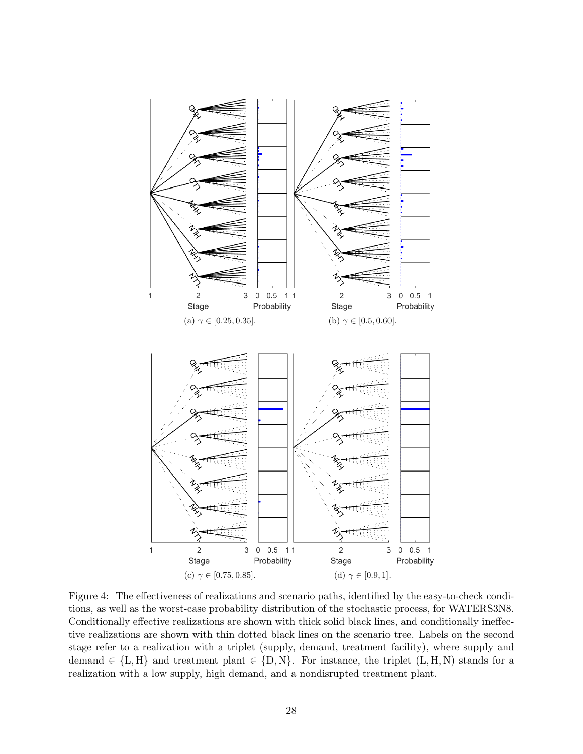<span id="page-27-4"></span><span id="page-27-3"></span><span id="page-27-1"></span><span id="page-27-0"></span>

<span id="page-27-2"></span>Figure 4: The effectiveness of realizations and scenario paths, identified by the easy-to-check conditions, as well as the worst-case probability distribution of the stochastic process, for WATERS3N8. Conditionally effective realizations are shown with thick solid black lines, and conditionally ineffective realizations are shown with thin dotted black lines on the scenario tree. Labels on the second stage refer to a realization with a triplet (supply, demand, treatment facility), where supply and demand  $\in \{L, H\}$  and treatment plant  $\in \{D, N\}$ . For instance, the triplet  $(L, H, N)$  stands for a realization with a low supply, high demand, and a nondisrupted treatment plant.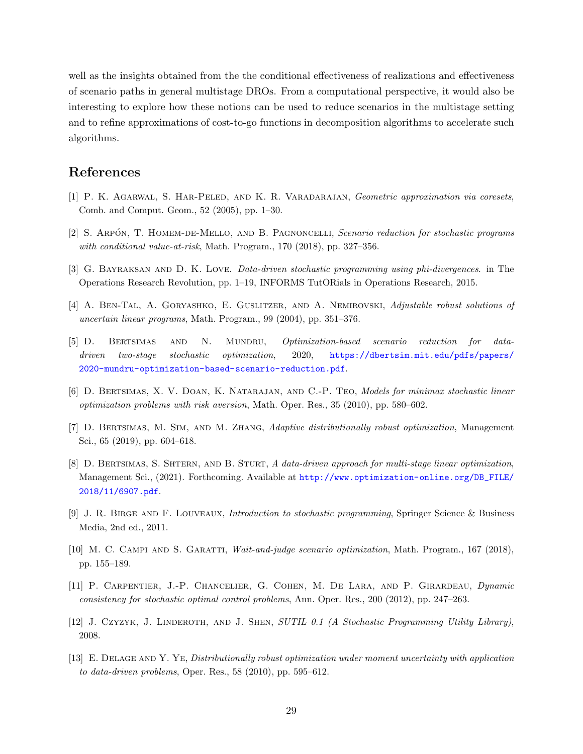well as the insights obtained from the the conditional effectiveness of realizations and effectiveness of scenario paths in general multistage DROs. From a computational perspective, it would also be interesting to explore how these notions can be used to reduce scenarios in the multistage setting and to refine approximations of cost-to-go functions in decomposition algorithms to accelerate such algorithms.

## References

- <span id="page-28-9"></span>[1] P. K. AGARWAL, S. HAR-PELED, AND K. R. VARADARAJAN, Geometric approximation via coresets, Comb. and Comput. Geom., 52 (2005), pp. 1–30.
- <span id="page-28-8"></span>[2] S. ARPÓN, T. HOMEM-DE-MELLO, AND B. PAGNONCELLI, Scenario reduction for stochastic programs with conditional value-at-risk, Math. Program., 170 (2018), pp. 327-356.
- <span id="page-28-5"></span>[3] G. Bayraksan and D. K. Love. Data-driven stochastic programming using phi-divergences. in The Operations Research Revolution, pp. 1–19, INFORMS TutORials in Operations Research, 2015.
- <span id="page-28-1"></span>[4] A. BEN-TAL, A. GORYASHKO, E. GUSLITZER, AND A. NEMIROVSKI, Adjustable robust solutions of uncertain linear programs, Math. Program., 99 (2004), pp. 351–376.
- <span id="page-28-11"></span>[5] D. Bertsimas and N. Mundru, Optimization-based scenario reduction for datadriven two-stage stochastic optimization, 2020, [https://dbertsim.mit.edu/pdfs/papers/](https://dbertsim.mit.edu/pdfs/papers/2020-mundru-optimization-based-scenario-reduction.pdf) [2020-mundru-optimization-based-scenario-reduction.pdf](https://dbertsim.mit.edu/pdfs/papers/2020-mundru-optimization-based-scenario-reduction.pdf).
- <span id="page-28-2"></span>[6] D. Bertsimas, X. V. Doan, K. Natarajan, and C.-P. Teo, Models for minimax stochastic linear optimization problems with risk aversion, Math. Oper. Res., 35 (2010), pp. 580–602.
- <span id="page-28-6"></span>[7] D. Bertsimas, M. Sim, and M. Zhang, Adaptive distributionally robust optimization, Management Sci., 65 (2019), pp. 604–618.
- <span id="page-28-4"></span>[8] D. BERTSIMAS, S. SHTERN, AND B. STURT, A data-driven approach for multi-stage linear optimization, Management Sci., (2021). Forthcoming. Available at [http://www.optimization-online.org/DB\\_FILE/](http://www.optimization-online.org/DB_FILE/2018/11/6907.pdf) [2018/11/6907.pdf](http://www.optimization-online.org/DB_FILE/2018/11/6907.pdf).
- <span id="page-28-0"></span>[9] J. R. Birge and F. Louveaux, Introduction to stochastic programming, Springer Science & Business Media, 2nd ed., 2011.
- <span id="page-28-10"></span>[10] M. C. CAMPI AND S. GARATTI, Wait-and-judge scenario optimization, Math. Program., 167 (2018), pp. 155–189.
- <span id="page-28-7"></span>[11] P. Carpentier, J.-P. Chancelier, G. Cohen, M. De Lara, and P. Girardeau, Dynamic consistency for stochastic optimal control problems, Ann. Oper. Res., 200 (2012), pp. 247–263.
- <span id="page-28-12"></span>[12] J. CZYZYK, J. LINDEROTH, AND J. SHEN, SUTIL 0.1 (A Stochastic Programming Utility Library), 2008.
- <span id="page-28-3"></span>[13] E. Delage and Y. Ye, Distributionally robust optimization under moment uncertainty with application to data-driven problems, Oper. Res., 58 (2010), pp. 595–612.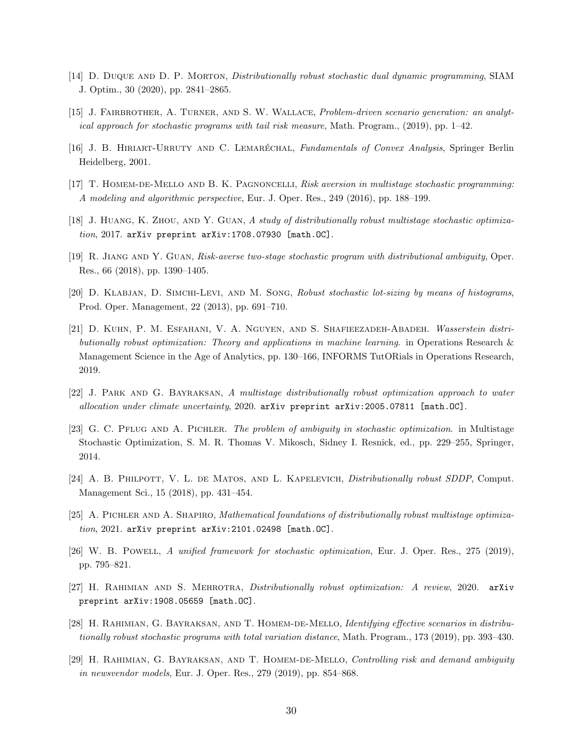- <span id="page-29-3"></span>[14] D. Duque and D. P. Morton, Distributionally robust stochastic dual dynamic programming, SIAM J. Optim., 30 (2020), pp. 2841–2865.
- <span id="page-29-12"></span>[15] J. FAIRBROTHER, A. TURNER, AND S. W. WALLACE, Problem-driven scenario generation: an analytical approach for stochastic programs with tail risk measure, Math. Program., (2019), pp. 1–42.
- <span id="page-29-15"></span>[16] J. B. HIRIART-URRUTY AND C. LEMARÉCHAL, Fundamentals of Convex Analysis, Springer Berlin Heidelberg, 2001.
- <span id="page-29-13"></span>[17] T. Homem-de-Mello and B. K. Pagnoncelli, Risk aversion in multistage stochastic programming: A modeling and algorithmic perspective, Eur. J. Oper. Res., 249 (2016), pp. 188–199.
- <span id="page-29-4"></span>[18] J. Huang, K. Zhou, and Y. Guan, A study of distributionally robust multistage stochastic optimiza $tion, 2017.$  arXiv preprint  $arXiv:1708.07930$  [math.OC].
- <span id="page-29-14"></span>[19] R. Jiang and Y. Guan, Risk-averse two-stage stochastic program with distributional ambiguity, Oper. Res., 66 (2018), pp. 1390–1405.
- <span id="page-29-8"></span>[20] D. Klabjan, D. Simchi-Levi, and M. Song, Robust stochastic lot-sizing by means of histograms, Prod. Oper. Management, 22 (2013), pp. 691–710.
- <span id="page-29-7"></span>[21] D. Kuhn, P. M. Esfahani, V. A. Nguyen, and S. Shafieezadeh-Abadeh. Wasserstein distributionally robust optimization: Theory and applications in machine learning. in Operations Research & Management Science in the Age of Analytics, pp. 130–166, INFORMS TutORials in Operations Research, 2019.
- <span id="page-29-2"></span>[22] J. Park and G. Bayraksan, A multistage distributionally robust optimization approach to water allocation under climate uncertainty, 2020. arXiv preprint arXiv:2005.07811 [math.OC].
- <span id="page-29-6"></span>[23] G. C. PFLUG AND A. PICHLER. The problem of ambiguity in stochastic optimization. in Multistage Stochastic Optimization, S. M. R. Thomas V. Mikosch, Sidney I. Resnick, ed., pp. 229–255, Springer, 2014.
- <span id="page-29-5"></span>[24] A. B. PHILPOTT, V. L. DE MATOS, AND L. KAPELEVICH, *Distributionally robust SDDP*, Comput. Management Sci., 15 (2018), pp. 431–454.
- <span id="page-29-9"></span>[25] A. Pichler and A. Shapiro, Mathematical foundations of distributionally robust multistage optimiza $tion, 2021.$  arXiv preprint  $arXiv:2101.02498$  [math.OC].
- <span id="page-29-0"></span>[26] W. B. Powell, A unified framework for stochastic optimization, Eur. J. Oper. Res., 275 (2019), pp. 795–821.
- <span id="page-29-1"></span>[27] H. Rahimian and S. Mehrotra, Distributionally robust optimization: A review, 2020. arXiv preprint arXiv:1908.05659 [math.OC].
- <span id="page-29-10"></span>[28] H. RAHIMIAN, G. BAYRAKSAN, AND T. HOMEM-DE-MELLO, Identifying effective scenarios in distributionally robust stochastic programs with total variation distance, Math. Program., 173 (2019), pp. 393–430.
- <span id="page-29-11"></span>[29] H. RAHIMIAN, G. BAYRAKSAN, AND T. HOMEM-DE-MELLO, Controlling risk and demand ambiguity in newsvendor models, Eur. J. Oper. Res., 279 (2019), pp. 854–868.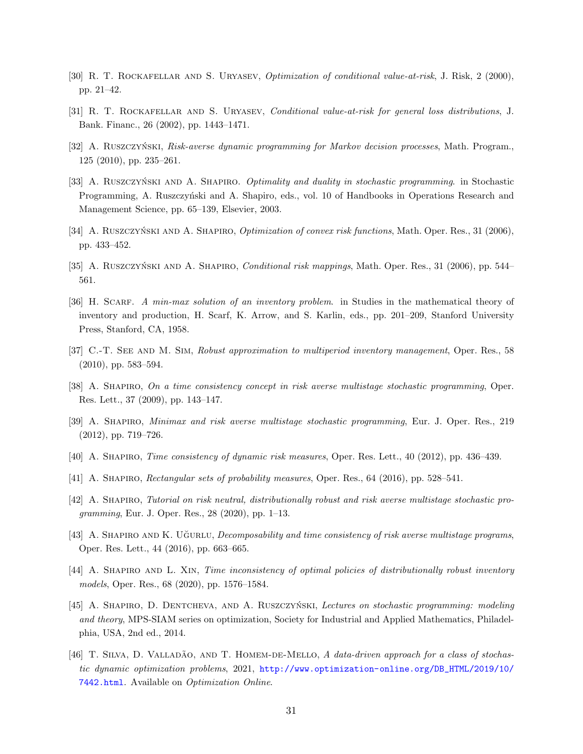- <span id="page-30-14"></span>[30] R. T. ROCKAFELLAR AND S. URYASEV, *Optimization of conditional value-at-risk*, J. Risk, 2 (2000), pp. 21–42.
- <span id="page-30-15"></span>[31] R. T. ROCKAFELLAR AND S. URYASEV, *Conditional value-at-risk for general loss distributions*, J. Bank. Financ., 26 (2002), pp. 1443–1471.
- <span id="page-30-6"></span>[32] A. RUSZCZYŃSKI, Risk-averse dynamic programming for Markov decision processes, Math. Program., 125 (2010), pp. 235–261.
- <span id="page-30-16"></span>[33] A. RUSZCZYŃSKI AND A. SHAPIRO. *Optimality and duality in stochastic programming*. in Stochastic Programming, A. Ruszczyński and A. Shapiro, eds., vol. 10 of Handbooks in Operations Research and Management Science, pp. 65–139, Elsevier, 2003.
- <span id="page-30-12"></span>[34] A. RUSZCZYŃSKI AND A. SHAPIRO, *Optimization of convex risk functions*, Math. Oper. Res., 31 (2006), pp. 433–452.
- <span id="page-30-13"></span>[35] A. RUSZCZYŃSKI AND A. SHAPIRO, *Conditional risk mappings*, Math. Oper. Res., 31 (2006), pp. 544– 561.
- <span id="page-30-1"></span>[36] H. SCARF. A min-max solution of an inventory problem. in Studies in the mathematical theory of inventory and production, H. Scarf, K. Arrow, and S. Karlin, eds., pp. 201–209, Stanford University Press, Stanford, CA, 1958.
- <span id="page-30-2"></span>[37] C.-T. SEE AND M. SIM, Robust approximation to multiperiod inventory management, Oper. Res., 58 (2010), pp. 583–594.
- <span id="page-30-7"></span>[38] A. SHAPIRO, On a time consistency concept in risk averse multistage stochastic programming, Oper. Res. Lett., 37 (2009), pp. 143–147.
- <span id="page-30-9"></span>[39] A. Shapiro, Minimax and risk averse multistage stochastic programming, Eur. J. Oper. Res., 219 (2012), pp. 719–726.
- <span id="page-30-8"></span>[40] A. Shapiro, Time consistency of dynamic risk measures, Oper. Res. Lett., 40 (2012), pp. 436–439.
- <span id="page-30-11"></span>[41] A. SHAPIRO, *Rectangular sets of probability measures*, Oper. Res., 64 (2016), pp. 528–541.
- <span id="page-30-5"></span>[42] A. Shapiro, Tutorial on risk neutral, distributionally robust and risk averse multistage stochastic programming, Eur. J. Oper. Res., 28 (2020), pp. 1–13.
- <span id="page-30-10"></span>[43] A. SHAPIRO AND K. UGURLU, *Decomposability and time consistency of risk averse multistage programs*, Oper. Res. Lett., 44 (2016), pp. 663–665.
- <span id="page-30-3"></span>[44] A. SHAPIRO AND L. XIN, Time inconsistency of optimal policies of distributionally robust inventory models, Oper. Res., 68 (2020), pp. 1576–1584.
- <span id="page-30-0"></span>[45] A. SHAPIRO, D. DENTCHEVA, AND A. RUSZCZYŃSKI, Lectures on stochastic programming: modeling and theory, MPS-SIAM series on optimization, Society for Industrial and Applied Mathematics, Philadelphia, USA, 2nd ed., 2014.
- <span id="page-30-4"></span>[46] T. SILVA, D. VALLADÃO, AND T. HOMEM-DE-MELLO, A data-driven approach for a class of stochastic dynamic optimization problems, 2021, [http://www.optimization-online.org/DB\\_HTML/2019/10/](http://www.optimization-online.org/DB_HTML/2019/10/7442.html) [7442.html](http://www.optimization-online.org/DB_HTML/2019/10/7442.html). Available on Optimization Online.